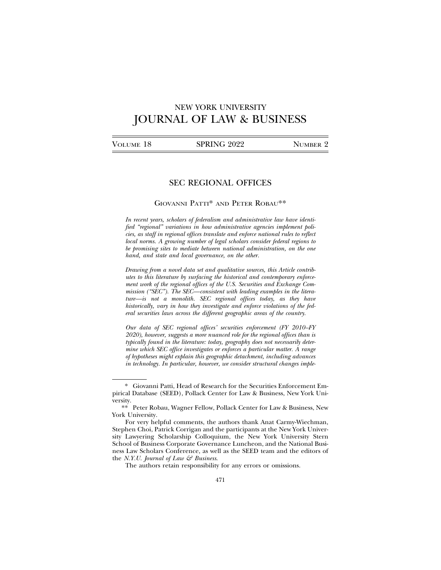# NEW YORK UNIVERSITY JOURNAL OF LAW & BUSINESS

| VOLUME 18 | SPRING 2022 | NUMBER 2 |
|-----------|-------------|----------|
|           |             |          |

# SEC REGIONAL OFFICES

## GIOVANNI PATTI\* AND PETER ROBAU\*\*

*In recent years, scholars of federalism and administrative law have identified "regional" variations in how administrative agencies implement policies, as staff in regional offices translate and enforce national rules to reflect local norms. A growing number of legal scholars consider federal regions to be promising sites to mediate between national administration, on the one hand, and state and local governance, on the other.*

*Drawing from a novel data set and qualitative sources, this Article contributes to this literature by surfacing the historical and contemporary enforcement work of the regional offices of the U.S. Securities and Exchange Commission ("SEC"). The SEC—consistent with leading examples in the literature—is not a monolith. SEC regional offices today, as they have historically, vary in how they investigate and enforce violations of the federal securities laws across the different geographic areas of the country.*

*Our data of SEC regional offices' securities enforcement (FY 2010–FY 2020), however, suggests a more nuanced role for the regional offices than is typically found in the literature: today, geography does not necessarily determine which SEC office investigates or enforces a particular matter. A range of hypotheses might explain this geographic detachment, including advances in technology. In particular, however, we consider structural changes imple-*

The authors retain responsibility for any errors or omissions.

<sup>\*</sup> Giovanni Patti, Head of Research for the Securities Enforcement Empirical Database (SEED), Pollack Center for Law & Business, New York University.

<sup>\*\*</sup> Peter Robau, Wagner Fellow, Pollack Center for Law & Business, New York University.

For very helpful comments, the authors thank Anat Carmy-Wiechman, Stephen Choi, Patrick Corrigan and the participants at the New York University Lawyering Scholarship Colloquium, the New York University Stern School of Business Corporate Governance Luncheon, and the National Business Law Scholars Conference, as well as the SEED team and the editors of the *N.Y.U. Journal of Law & Business*.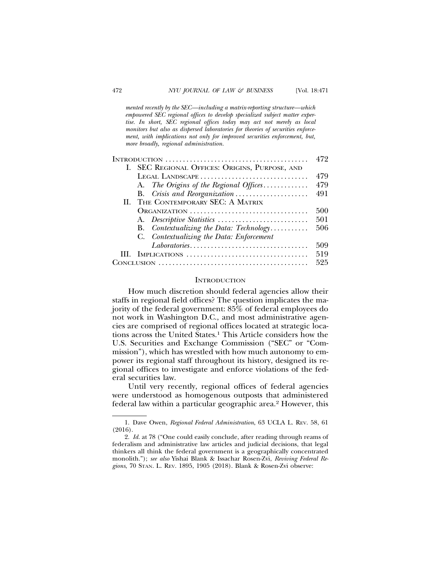*mented recently by the SEC—including a matrix-reporting structure—which empowered SEC regional offices to develop specialized subject matter expertise. In short, SEC regional offices today may act not merely as local monitors but also as dispersed laboratories for theories of securities enforcement, with implications not only for improved securities enforcement, but, more broadly, regional administration.*

| I. SEC REGIONAL OFFICES: ORIGINS, PURPOSE, AND<br>LEGAL LANDSCAPE<br>A. The Origins of the Regional Offices<br>B. Crisis and Reorganization<br>II. THE CONTEMPORARY SEC: A MATRIX<br>ORGANIZATION<br>B. Contextualizing the Data: Technology<br>C. Contextualizing the Data: Enforcement<br>$Laboratories \ldots \ldots \ldots \ldots \ldots \ldots \ldots \ldots \ldots \ldots \ldots$ |   |              | 472 |
|-----------------------------------------------------------------------------------------------------------------------------------------------------------------------------------------------------------------------------------------------------------------------------------------------------------------------------------------------------------------------------------------|---|--------------|-----|
|                                                                                                                                                                                                                                                                                                                                                                                         |   |              |     |
|                                                                                                                                                                                                                                                                                                                                                                                         |   |              | 479 |
|                                                                                                                                                                                                                                                                                                                                                                                         |   |              | 479 |
|                                                                                                                                                                                                                                                                                                                                                                                         |   |              | 491 |
|                                                                                                                                                                                                                                                                                                                                                                                         |   |              |     |
|                                                                                                                                                                                                                                                                                                                                                                                         |   |              | 500 |
|                                                                                                                                                                                                                                                                                                                                                                                         |   |              | 501 |
|                                                                                                                                                                                                                                                                                                                                                                                         |   |              | 506 |
|                                                                                                                                                                                                                                                                                                                                                                                         |   |              |     |
|                                                                                                                                                                                                                                                                                                                                                                                         |   |              | 509 |
|                                                                                                                                                                                                                                                                                                                                                                                         | Ш | IMPLICATIONS | 519 |
|                                                                                                                                                                                                                                                                                                                                                                                         |   |              | 525 |

#### **INTRODUCTION**

How much discretion should federal agencies allow their staffs in regional field offices? The question implicates the majority of the federal government: 85% of federal employees do not work in Washington D.C., and most administrative agencies are comprised of regional offices located at strategic locations across the United States.1 This Article considers how the U.S. Securities and Exchange Commission ("SEC" or "Commission"), which has wrestled with how much autonomy to empower its regional staff throughout its history, designed its regional offices to investigate and enforce violations of the federal securities law.

Until very recently, regional offices of federal agencies were understood as homogenous outposts that administered federal law within a particular geographic area.<sup>2</sup> However, this

<sup>1.</sup> Dave Owen, *Regional Federal Administration*, 63 UCLA L. REV. 58, 61 (2016).

<sup>2.</sup> *Id.* at 78 ("One could easily conclude, after reading through reams of federalism and administrative law articles and judicial decisions, that legal thinkers all think the federal government is a geographically concentrated monolith."); *see also* Yishai Blank & Issachar Rosen-Zvi, *Reviving Federal Regions*, 70 STAN. L. REV. 1895, 1905 (2018). Blank & Rosen-Zvi observe: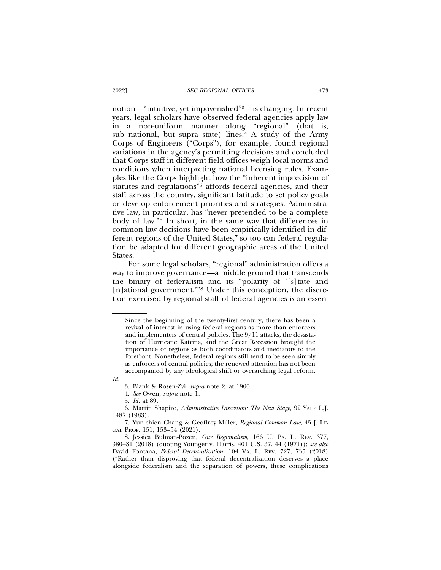notion—"intuitive, yet impoverished"3—is changing. In recent years, legal scholars have observed federal agencies apply law in a non-uniform manner along "regional" (that is, sub–national, but supra–state) lines.<sup>4</sup> A study of the Army Corps of Engineers ("Corps"), for example, found regional variations in the agency's permitting decisions and concluded that Corps staff in different field offices weigh local norms and conditions when interpreting national licensing rules. Examples like the Corps highlight how the "inherent imprecision of statutes and regulations"5 affords federal agencies, and their staff across the country, significant latitude to set policy goals or develop enforcement priorities and strategies. Administrative law, in particular, has "never pretended to be a complete body of law."6 In short, in the same way that differences in common law decisions have been empirically identified in different regions of the United States,<sup>7</sup> so too can federal regulation be adapted for different geographic areas of the United States.

For some legal scholars, "regional" administration offers a way to improve governance—a middle ground that transcends the binary of federalism and its "polarity of '[s]tate and [n]ational government."<sup>8</sup> Under this conception, the discretion exercised by regional staff of federal agencies is an essen-

*Id.*

Since the beginning of the twenty-first century, there has been a revival of interest in using federal regions as more than enforcers and implementers of central policies. The 9/11 attacks, the devastation of Hurricane Katrina, and the Great Recession brought the importance of regions as both coordinators and mediators to the forefront. Nonetheless, federal regions still tend to be seen simply as enforcers of central policies; the renewed attention has not been accompanied by any ideological shift or overarching legal reform.

<sup>3.</sup> Blank & Rosen-Zvi, *supra* note 2, at 1900.

<sup>4.</sup> *See* Owen, *supra* note 1.

<sup>5.</sup> *Id.* at 89.

<sup>6.</sup> Martin Shapiro, *Administrative Discretion: The Next Stage*, 92 YALE L.J. 1487 (1983).

<sup>7.</sup> Yun-chien Chang & Geoffrey Miller, *Regional Common Law*, 45 J. LE-GAL PROF. 151, 153–54 (2021).

<sup>8.</sup> Jessica Bulman-Pozen, *Our Regionalism*, 166 U. PA. L. REV. 377, 380–81 (2018) (quoting Younger v. Harris, 401 U.S. 37, 44 (1971)); *see also* David Fontana, *Federal Decentralization*, 104 VA. L. REV. 727, 735 (2018) ("Rather than disproving that federal decentralization deserves a place alongside federalism and the separation of powers, these complications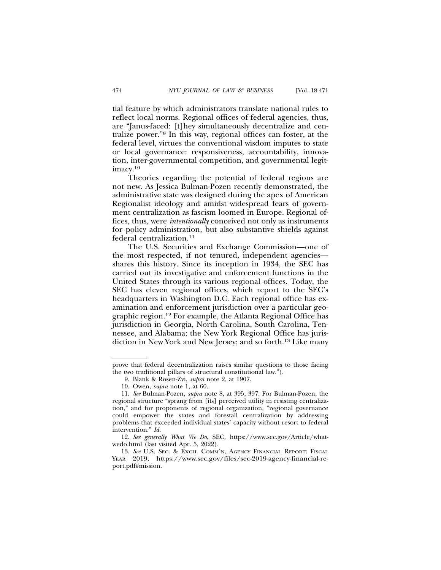tial feature by which administrators translate national rules to reflect local norms. Regional offices of federal agencies, thus, are "Janus-faced: [t]hey simultaneously decentralize and centralize power."9 In this way, regional offices can foster, at the federal level, virtues the conventional wisdom imputes to state or local governance: responsiveness, accountability, innovation, inter-governmental competition, and governmental legitimacy.10

Theories regarding the potential of federal regions are not new. As Jessica Bulman-Pozen recently demonstrated, the administrative state was designed during the apex of American Regionalist ideology and amidst widespread fears of government centralization as fascism loomed in Europe. Regional offices, thus, were *intentionally* conceived not only as instruments for policy administration, but also substantive shields against federal centralization.11

The U.S. Securities and Exchange Commission—one of the most respected, if not tenured, independent agencies shares this history. Since its inception in 1934, the SEC has carried out its investigative and enforcement functions in the United States through its various regional offices. Today, the SEC has eleven regional offices, which report to the SEC's headquarters in Washington D.C. Each regional office has examination and enforcement jurisdiction over a particular geographic region.12 For example, the Atlanta Regional Office has jurisdiction in Georgia, North Carolina, South Carolina, Tennessee, and Alabama; the New York Regional Office has jurisdiction in New York and New Jersey; and so forth.13 Like many

prove that federal decentralization raises similar questions to those facing the two traditional pillars of structural constitutional law.").

<sup>9.</sup> Blank & Rosen-Zvi, *supra* note 2, at 1907.

<sup>10.</sup> Owen, *supra* note 1, at 60.

<sup>11.</sup> *See* Bulman-Pozen, *supra* note 8, at 395, 397. For Bulman-Pozen, the regional structure "sprang from [its] perceived utility in resisting centralization," and for proponents of regional organization, "regional governance could empower the states and forestall centralization by addressing problems that exceeded individual states' capacity without resort to federal intervention." *Id.*

<sup>12.</sup> *See generally What We Do*, SEC, https://www.sec.gov/Article/whatwedo.html (last visited Apr. 5, 2022).

<sup>13.</sup> *See* U.S. SEC. & EXCH. COMM'N, AGENCY FINANCIAL REPORT: FISCAL YEAR 2019, https://www.sec.gov/files/sec-2019-agency-financial-report.pdf#mission.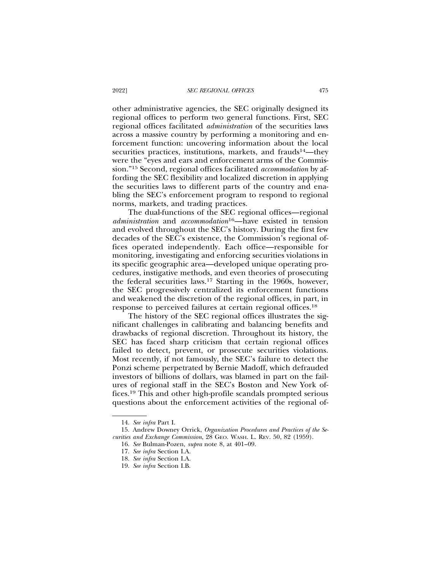other administrative agencies, the SEC originally designed its regional offices to perform two general functions. First, SEC regional offices facilitated *administration* of the securities laws across a massive country by performing a monitoring and enforcement function: uncovering information about the local securities practices, institutions, markets, and frauds<sup>14</sup>—they were the "eyes and ears and enforcement arms of the Commission."15 Second, regional offices facilitated *accommodation* by affording the SEC flexibility and localized discretion in applying the securities laws to different parts of the country and enabling the SEC's enforcement program to respond to regional norms, markets, and trading practices.

The dual-functions of the SEC regional offices—regional *administration* and *accommodation*16—have existed in tension and evolved throughout the SEC's history. During the first few decades of the SEC's existence, the Commission's regional offices operated independently. Each office—responsible for monitoring, investigating and enforcing securities violations in its specific geographic area—developed unique operating procedures, instigative methods, and even theories of prosecuting the federal securities laws.<sup>17</sup> Starting in the 1960s, however, the SEC progressively centralized its enforcement functions and weakened the discretion of the regional offices, in part, in response to perceived failures at certain regional offices.18

The history of the SEC regional offices illustrates the significant challenges in calibrating and balancing benefits and drawbacks of regional discretion. Throughout its history, the SEC has faced sharp criticism that certain regional offices failed to detect, prevent, or prosecute securities violations. Most recently, if not famously, the SEC's failure to detect the Ponzi scheme perpetrated by Bernie Madoff, which defrauded investors of billions of dollars, was blamed in part on the failures of regional staff in the SEC's Boston and New York offices.19 This and other high-profile scandals prompted serious questions about the enforcement activities of the regional of-

<sup>14.</sup> *See infra* Part I.

<sup>15.</sup> Andrew Downey Orrick, *Organization Procedures and Practices of the Securities and Exchange Commission*, 28 GEO. WASH. L. REV. 50, 82 (1959).

<sup>16.</sup> *See* Bulman-Pozen, *supra* note 8, at 401–09.

<sup>17.</sup> *See infra* Section I.A.

<sup>18.</sup> *See infra* Section I.A.

<sup>19.</sup> *See infra* Section I.B.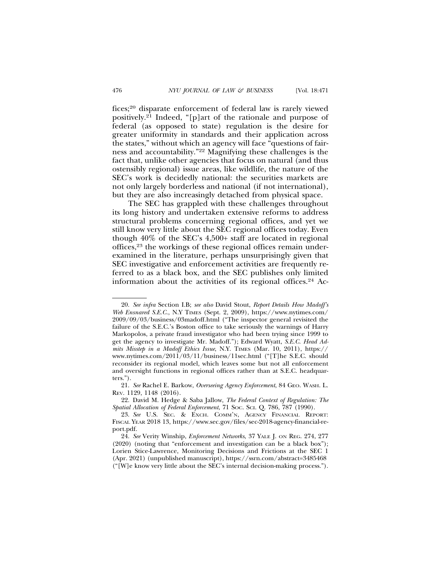fices;20 disparate enforcement of federal law is rarely viewed positively.21 Indeed, "[p]art of the rationale and purpose of federal (as opposed to state) regulation is the desire for greater uniformity in standards and their application across the states," without which an agency will face "questions of fairness and accountability."22 Magnifying these challenges is the fact that, unlike other agencies that focus on natural (and thus ostensibly regional) issue areas, like wildlife, the nature of the SEC's work is decidedly national: the securities markets are not only largely borderless and national (if not international), but they are also increasingly detached from physical space.

The SEC has grappled with these challenges throughout its long history and undertaken extensive reforms to address structural problems concerning regional offices, and yet we still know very little about the SEC regional offices today. Even though 40% of the SEC's 4,500+ staff are located in regional offices,23 the workings of these regional offices remain underexamined in the literature, perhaps unsurprisingly given that SEC investigative and enforcement activities are frequently referred to as a black box, and the SEC publishes only limited information about the activities of its regional offices.24 Ac-

<sup>20.</sup> *See infra* Section I.B; *see also* David Stout, *Report Details How Madoff's Web Ensnared S.E.C.*, N.Y TIMES (Sept. 2, 2009), https://www.nytimes.com/ 2009/09/03/business/03madoff.html ("The inspector general revisited the failure of the S.E.C.'s Boston office to take seriously the warnings of Harry Markopolos, a private fraud investigator who had been trying since 1999 to get the agency to investigate Mr. Madoff."); Edward Wyatt, *S.E.C. Head Admits Misstep in a Madoff Ethics Issue*, N.Y. TIMES (Mar. 10, 2011), https:// www.nytimes.com/2011/03/11/business/11sec.html ("[T]he S.E.C. should reconsider its regional model, which leaves some but not all enforcement and oversight functions in regional offices rather than at S.E.C. headquarters.").

<sup>21.</sup> *See* Rachel E. Barkow, *Overseeing Agency Enforcement*, 84 GEO. WASH. L. REV. 1129, 1148 (2016).

<sup>22.</sup> David M. Hedge & Saba Jallow, *The Federal Context of Regulation: The Spatial Allocation of Federal Enforcement*, 71 SOC. SCI. Q. 786, 787 (1990).

<sup>23.</sup> *See* U.S. SEC. & EXCH. COMM'N, AGENCY FINANCIAL REPORT: FISCAL YEAR 2018 13, https://www.sec.gov/files/sec-2018-agency-financial-report.pdf.

<sup>24.</sup> *See* Verity Winship, *Enforcement Networks*, 37 YALE J. ON REG. 274, 277 (2020) (noting that "enforcement and investigation can be a black box"); Lorien Stice-Lawrence, Monitoring Decisions and Frictions at the SEC 1 (Apr. 2021) (unpublished manuscript), https://ssrn.com/abstract=3485468 ("[W]e know very little about the SEC's internal decision-making process.").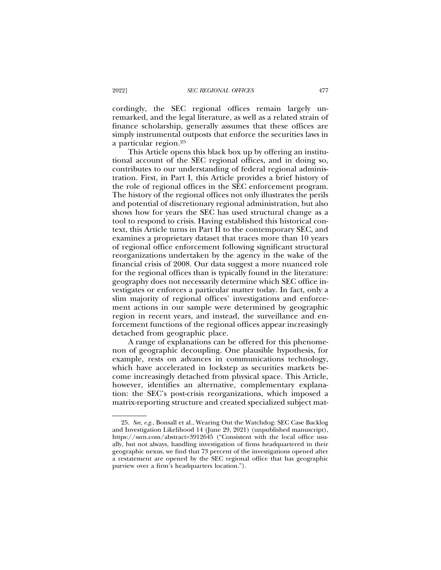cordingly, the SEC regional offices remain largely unremarked, and the legal literature, as well as a related strain of finance scholarship, generally assumes that these offices are simply instrumental outposts that enforce the securities laws in a particular region.25

This Article opens this black box up by offering an institutional account of the SEC regional offices, and in doing so, contributes to our understanding of federal regional administration. First, in Part I, this Article provides a brief history of the role of regional offices in the SEC enforcement program. The history of the regional offices not only illustrates the perils and potential of discretionary regional administration, but also shows how for years the SEC has used structural change as a tool to respond to crisis. Having established this historical context, this Article turns in Part II to the contemporary SEC, and examines a proprietary dataset that traces more than 10 years of regional office enforcement following significant structural reorganizations undertaken by the agency in the wake of the financial crisis of 2008. Our data suggest a more nuanced role for the regional offices than is typically found in the literature: geography does not necessarily determine which SEC office investigates or enforces a particular matter today. In fact, only a slim majority of regional offices' investigations and enforcement actions in our sample were determined by geographic region in recent years, and instead, the surveillance and enforcement functions of the regional offices appear increasingly detached from geographic place.

A range of explanations can be offered for this phenomenon of geographic decoupling. One plausible hypothesis, for example, rests on advances in communications technology, which have accelerated in lockstep as securities markets become increasingly detached from physical space. This Article, however, identifies an alternative, complementary explanation: the SEC's post-crisis reorganizations, which imposed a matrix-reporting structure and created specialized subject mat-

<sup>25.</sup> *See, e.g.*, Bonsall et al., Wearing Out the Watchdog: SEC Case Backlog and Investigation Likelihood 14 (June 29, 2021) (unpublished manuscript), https://ssrn.com/abstract=3912645 ("Consistent with the local office usually, but not always, handling investigation of firms headquartered in their geographic nexus, we find that 73 percent of the investigations opened after a restatement are opened by the SEC regional office that has geographic purview over a firm's headquarters location.").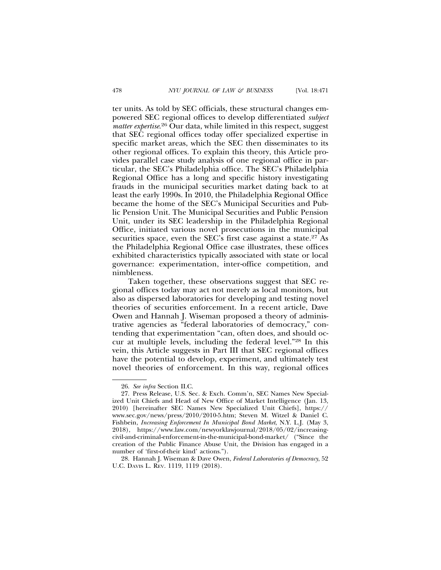ter units. As told by SEC officials, these structural changes empowered SEC regional offices to develop differentiated *subject matter expertise*. 26 Our data, while limited in this respect, suggest that SEC regional offices today offer specialized expertise in specific market areas, which the SEC then disseminates to its other regional offices. To explain this theory, this Article provides parallel case study analysis of one regional office in particular, the SEC's Philadelphia office. The SEC's Philadelphia Regional Office has a long and specific history investigating frauds in the municipal securities market dating back to at least the early 1990s. In 2010, the Philadelphia Regional Office became the home of the SEC's Municipal Securities and Public Pension Unit. The Municipal Securities and Public Pension Unit, under its SEC leadership in the Philadelphia Regional Office, initiated various novel prosecutions in the municipal securities space, even the SEC's first case against a state.<sup>27</sup> As the Philadelphia Regional Office case illustrates, these offices exhibited characteristics typically associated with state or local governance: experimentation, inter-office competition, and nimbleness.

Taken together, these observations suggest that SEC regional offices today may act not merely as local monitors, but also as dispersed laboratories for developing and testing novel theories of securities enforcement. In a recent article, Dave Owen and Hannah J. Wiseman proposed a theory of administrative agencies as "federal laboratories of democracy," contending that experimentation "can, often does, and should occur at multiple levels, including the federal level."28 In this vein, this Article suggests in Part III that SEC regional offices have the potential to develop, experiment, and ultimately test novel theories of enforcement. In this way, regional offices

<sup>26.</sup> *See infra* Section II.C.

<sup>27.</sup> Press Release, U.S. Sec. & Exch. Comm'n, SEC Names New Specialized Unit Chiefs and Head of New Office of Market Intelligence (Jan. 13, 2010) [hereinafter SEC Names New Specialized Unit Chiefs], https:// www.sec.gov/news/press/2010/2010-5.htm; Steven M. Witzel & Daniel C. Fishbein, *Increasing Enforcement In Municipal Bond Market*, N.Y. L.J. (May 3, 2018), https://www.law.com/newyorklawjournal/2018/05/02/increasingcivil-and-criminal-enforcement-in-the-municipal-bond-market/ ("Since the creation of the Public Finance Abuse Unit, the Division has engaged in a number of 'first-of-their kind' actions.").

<sup>28.</sup> Hannah J. Wiseman & Dave Owen, *Federal Laboratories of Democracy*, 52 U.C. DAVIS L. REV. 1119, 1119 (2018).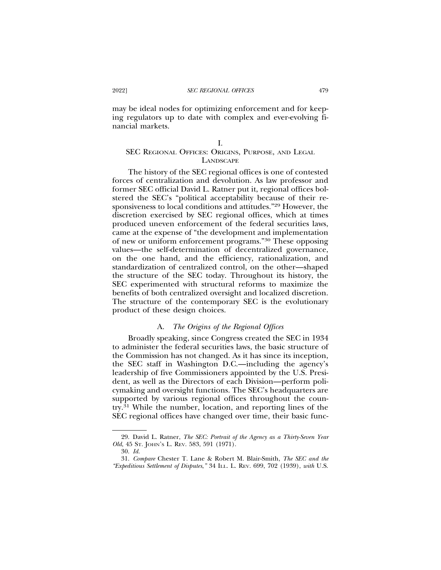may be ideal nodes for optimizing enforcement and for keeping regulators up to date with complex and ever-evolving financial markets.

## I.

# SEC REGIONAL OFFICES: ORIGINS, PURPOSE, AND LEGAL **LANDSCAPE**

The history of the SEC regional offices is one of contested forces of centralization and devolution. As law professor and former SEC official David L. Ratner put it, regional offices bolstered the SEC's "political acceptability because of their responsiveness to local conditions and attitudes."29 However, the discretion exercised by SEC regional offices, which at times produced uneven enforcement of the federal securities laws, came at the expense of "the development and implementation of new or uniform enforcement programs."30 These opposing values—the self-determination of decentralized governance, on the one hand, and the efficiency, rationalization, and standardization of centralized control, on the other—shaped the structure of the SEC today. Throughout its history, the SEC experimented with structural reforms to maximize the benefits of both centralized oversight and localized discretion. The structure of the contemporary SEC is the evolutionary product of these design choices.

## A. *The Origins of the Regional Offices*

Broadly speaking, since Congress created the SEC in 1934 to administer the federal securities laws, the basic structure of the Commission has not changed. As it has since its inception, the SEC staff in Washington D.C.—including the agency's leadership of five Commissioners appointed by the U.S. President, as well as the Directors of each Division—perform policymaking and oversight functions. The SEC's headquarters are supported by various regional offices throughout the country.31 While the number, location, and reporting lines of the SEC regional offices have changed over time, their basic func-

<sup>29.</sup> David L. Ratner, *The SEC: Portrait of the Agency as a Thirty-Seven Year Old*, 45 ST. JOHN'S L. REV. 583, 591 (1971).

<sup>30.</sup> *Id.*

<sup>31.</sup> *Compare* Chester T. Lane & Robert M. Blair-Smith, *The SEC and the "Expeditious Settlement of Disputes*,*"* 34 ILL. L. REV. 699, 702 (1939), *with* U.S.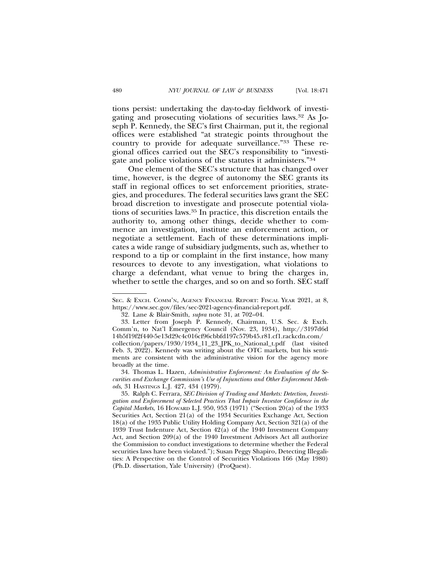tions persist: undertaking the day-to-day fieldwork of investigating and prosecuting violations of securities laws.32 As Joseph P. Kennedy, the SEC's first Chairman, put it, the regional offices were established "at strategic points throughout the country to provide for adequate surveillance."33 These regional offices carried out the SEC's responsibility to "investigate and police violations of the statutes it administers."34

One element of the SEC's structure that has changed over time, however, is the degree of autonomy the SEC grants its staff in regional offices to set enforcement priorities, strategies, and procedures. The federal securities laws grant the SEC broad discretion to investigate and prosecute potential violations of securities laws.35 In practice, this discretion entails the authority to, among other things, decide whether to commence an investigation, institute an enforcement action, or negotiate a settlement. Each of these determinations implicates a wide range of subsidiary judgments, such as, whether to respond to a tip or complaint in the first instance, how many resources to devote to any investigation, what violations to charge a defendant, what venue to bring the charges in, whether to settle the charges, and so on and so forth. SEC staff

34. Thomas L. Hazen, *Administrative Enforcement: An Evaluation of the Securities and Exchange Commission's Use of Injunctions and Other Enforcement Methods*, 31 HASTINGS L.J. 427, 434 (1979).

SEC. & EXCH. COMM'N, AGENCY FINANCIAL REPORT: FISCAL YEAR 2021, at 8, https://www.sec.gov/files/sec-2021-agency-financial-report.pdf.

<sup>32.</sup> Lane & Blair-Smith, *supra* note 31, at 702–04.

<sup>33.</sup> Letter from Joseph P. Kennedy, Chairman, U.S. Sec. & Exch. Comm'n, to Nat'l Emergency Council (Nov. 23, 1934), http://3197d6d 14b5f19f2f440-5e13d29c4c016cf96cbbfd197c579b45.r81.cf1.rackcdn.com/ collection/papers/1930/1934\_11\_23\_JPK\_to\_National\_t.pdf (last visited Feb. 3, 2022). Kennedy was writing about the OTC markets, but his sentiments are consistent with the administrative vision for the agency more broadly at the time.

<sup>35.</sup> Ralph C. Ferrara, *SEC Division of Trading and Markets: Detection, Investigation and Enforcement of Selected Practices That Impair Investor Confidence in the Capital Markets*, 16 HOWARD L.J. 950, 953 (1971) ("Section 20(a) of the 1933 Securities Act, Section 21(a) of the 1934 Securities Exchange Act, Section 18(a) of the 1935 Public Utility Holding Company Act, Section 321(a) of the 1939 Trust Indenture Act, Section 42(a) of the 1940 Investment Company Act, and Section 209(a) of the 1940 Investment Advisors Act all authorize the Commission to conduct investigations to determine whether the Federal securities laws have been violated."); Susan Peggy Shapiro, Detecting Illegalities: A Perspective on the Control of Securities Violations 166 (May 1980) (Ph.D. dissertation, Yale University) (ProQuest).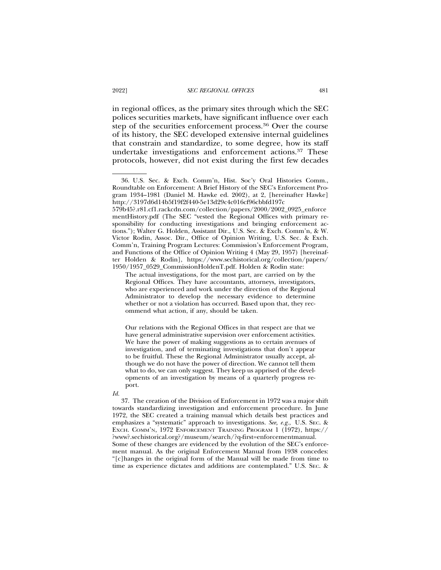in regional offices, as the primary sites through which the SEC polices securities markets, have significant influence over each step of the securities enforcement process.<sup>36</sup> Over the course of its history, the SEC developed extensive internal guidelines that constrain and standardize, to some degree, how its staff undertake investigations and enforcement actions.37 These protocols, however, did not exist during the first few decades

Our relations with the Regional Offices in that respect are that we have general administrative supervision over enforcement activities. We have the power of making suggestions as to certain avenues of investigation, and of terminating investigations that don't appear to be fruitful. These the Regional Administrator usually accept, although we do not have the power of direction. We cannot tell them what to do, we can only suggest. They keep us apprised of the developments of an investigation by means of a quarterly progress report.

37. The creation of the Division of Enforcement in 1972 was a major shift towards standardizing investigation and enforcement procedure. In June 1972, the SEC created a training manual which details best practices and emphasizes a "systematic" approach to investigations. *See, e.g.*, U.S. SEC. & EXCH. COMM'N, 1972 ENFORCEMENT TRAINING PROGRAM 1 (1972), https:// ?www?.sechistorical.org?/museum/search/?q-first=enforcementmanual. Some of these changes are evidenced by the evolution of the SEC's enforcement manual. As the original Enforcement Manual from 1938 concedes: "[c]hanges in the original form of the Manual will be made from time to time as experience dictates and additions are contemplated." U.S. SEC. &

<sup>36.</sup> U.S. Sec. & Exch. Comm'n, Hist. Soc'y Oral Histories Comm., Roundtable on Enforcement: A Brief History of the SEC's Enforcement Program 1934–1981 (Daniel M. Hawke ed. 2002), at 2, [hereinafter Hawke] http://3197d6d14b5f19f2f440-5e13d29c4c016cf96cbbfd197c 579b45?.r81.cf1.rackcdn.com/collection/papers/2000/2002\_0925\_enforce

mentHistory.pdf (The SEC "vested the Regional Offices with primary responsibility for conducting investigations and bringing enforcement actions."); Walter G. Holden, Assistant Dir., U.S. Sec. & Exch. Comm'n, & W. Victor Rodin, Assoc. Dir., Office of Opinion Writing, U.S. Sec. & Exch. Comm'n, Training Program Lectures: Commission's Enforcement Program, and Functions of the Office of Opinion Writing 4 (May 29, 1957) [hereinafter Holden & Rodin], https://www.sechistorical.org/collection/papers/ 1950/1957\_0529\_CommissionHoldenT.pdf. Holden & Rodin state:

The actual investigations, for the most part, are carried on by the Regional Offices. They have accountants, attorneys, investigators, who are experienced and work under the direction of the Regional Administrator to develop the necessary evidence to determine whether or not a violation has occurred. Based upon that, they recommend what action, if any, should be taken.

*Id.*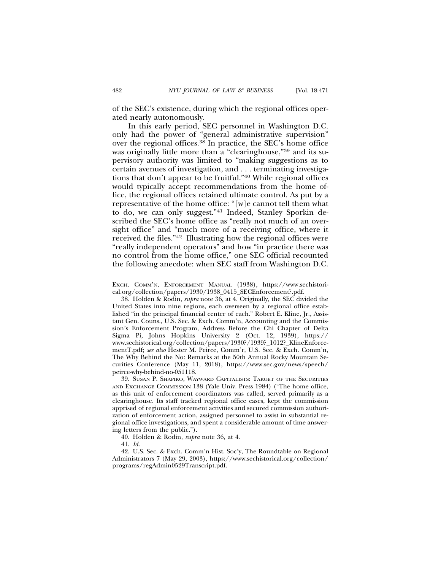of the SEC's existence, during which the regional offices operated nearly autonomously.

In this early period, SEC personnel in Washington D.C. only had the power of "general administrative supervision" over the regional offices.38 In practice, the SEC's home office was originally little more than a "clearinghouse,"39 and its supervisory authority was limited to "making suggestions as to certain avenues of investigation, and . . . terminating investigations that don't appear to be fruitful."40 While regional offices would typically accept recommendations from the home office, the regional offices retained ultimate control. As put by a representative of the home office: "[w]e cannot tell them what to do, we can only suggest."41 Indeed, Stanley Sporkin described the SEC's home office as "really not much of an oversight office" and "much more of a receiving office, where it received the files."42 Illustrating how the regional offices were "really independent operators" and how "in practice there was no control from the home office," one SEC official recounted the following anecdote: when SEC staff from Washington D.C.

EXCH. COMM'N, ENFORCEMENT MANUAL (1938), https://www.sechistorical.org/collection/papers/1930/1938\_0415\_SECEnforcement?.pdf.

<sup>38.</sup> Holden & Rodin, *supra* note 36, at 4. Originally, the SEC divided the United States into nine regions, each overseen by a regional office established "in the principal financial center of each." Robert E. Kline, Jr., Assistant Gen. Couns., U.S. Sec. & Exch. Comm'n, Accounting and the Commission's Enforcement Program, Address Before the Chi Chapter of Delta Sigma Pi, Johns Hopkins University 2 (Oct. 12, 1939), https:// www.sechistorical.org/collection/papers/1930?/1939?\_1012?\_KlineEnforcementT.pdf; *see also* Hester M. Peirce, Comm'r, U.S. Sec. & Exch. Comm'n, The Why Behind the No: Remarks at the 50th Annual Rocky Mountain Securities Conference (May 11, 2018), https://www.sec.gov/news/speech/ peirce-why-behind-no-051118.

<sup>39.</sup> SUSAN P. SHAPIRO, WAYWARD CAPITALISTS: TARGET OF THE SECURITIES AND EXCHANGE COMMISSION 138 (Yale Univ. Press 1984) ("The home office, as this unit of enforcement coordinators was called, served primarily as a clearinghouse. Its staff tracked regional office cases, kept the commission apprised of regional enforcement activities and secured commission authorization of enforcement action, assigned personnel to assist in substantial regional office investigations, and spent a considerable amount of time answering letters from the public.").

<sup>40.</sup> Holden & Rodin*, supra* note 36, at 4.

<sup>41.</sup> *Id.*

<sup>42.</sup> U.S. Sec. & Exch. Comm'n Hist. Soc'y, The Roundtable on Regional Administrators 7 (May 29, 2003), https://www.sechistorical.org/collection/ programs/regAdmin0529Transcript.pdf.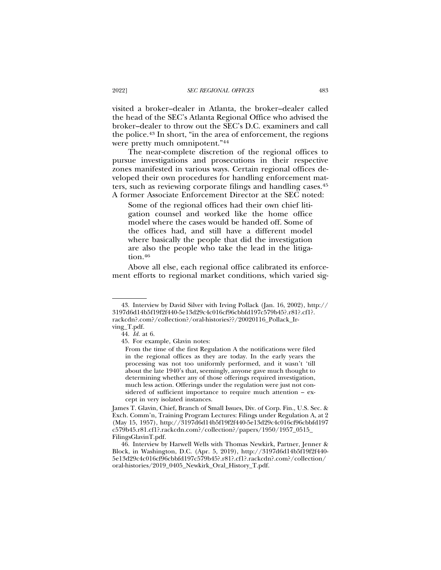visited a broker–dealer in Atlanta, the broker–dealer called the head of the SEC's Atlanta Regional Office who advised the broker–dealer to throw out the SEC's D.C. examiners and call the police.43 In short, "in the area of enforcement, the regions were pretty much omnipotent."44

The near-complete discretion of the regional offices to pursue investigations and prosecutions in their respective zones manifested in various ways. Certain regional offices developed their own procedures for handling enforcement matters, such as reviewing corporate filings and handling cases.45 A former Associate Enforcement Director at the SEC noted:

Some of the regional offices had their own chief litigation counsel and worked like the home office model where the cases would be handed off. Some of the offices had, and still have a different model where basically the people that did the investigation are also the people who take the lead in the litigation.<sup>46</sup>

Above all else, each regional office calibrated its enforcement efforts to regional market conditions, which varied sig-

<sup>43.</sup> Interview by David Silver with Irving Pollack (Jan. 16, 2002), http:// 3197d6d14b5f19f2f440-5e13d29c4c016cf96cbbfd197c579b45?.r81?.cf1?. rackcdn?.com?/collection?/oral-histories??/20020116\_Pollack\_Irving\_T.pdf.

<sup>44.</sup> *Id.* at 6.

<sup>45.</sup> For example, Glavin notes:

From the time of the first Regulation A the notifications were filed in the regional offices as they are today. In the early years the processing was not too uniformly performed, and it wasn't 'till about the late 1940's that, seemingly, anyone gave much thought to determining whether any of those offerings required investigation, much less action. Offerings under the regulation were just not considered of sufficient importance to require much attention – except in very isolated instances.

James T. Glavin, Chief, Branch of Small Issues, Div. of Corp. Fin., U.S. Sec. & Exch. Comm'n, Training Program Lectures: Filings under Regulation A, at 2 (May 15, 1957), http://3197d6d14b5f19f2f440-5e13d29c4c016cf96cbbfd197 c579b45.r81.cf1?.rackcdn.com?/collection?/papers/1950/1957\_0515\_ FilingsGlavinT.pdf.

<sup>46.</sup> Interview by Harwell Wells with Thomas Newkirk, Partner, Jenner & Block, in Washington, D.C. (Apr. 5, 2019), http://3197d6d14b5f19f2f440- 5e13d29c4c016cf96cbbfd197c579b45?.r81?.cf1?.rackcdn?.com?/collection/ oral-histories/2019\_0405\_Newkirk\_Oral\_History\_T.pdf.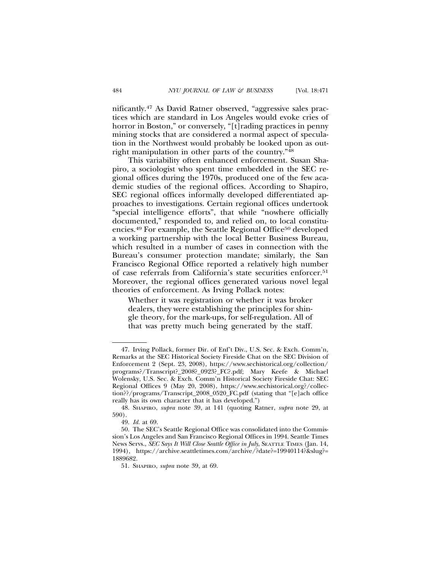nificantly.47 As David Ratner observed, "aggressive sales practices which are standard in Los Angeles would evoke cries of horror in Boston," or conversely, "[t]rading practices in penny mining stocks that are considered a normal aspect of speculation in the Northwest would probably be looked upon as outright manipulation in other parts of the country."48

This variability often enhanced enforcement. Susan Shapiro, a sociologist who spent time embedded in the SEC regional offices during the 1970s, produced one of the few academic studies of the regional offices. According to Shapiro, SEC regional offices informally developed differentiated approaches to investigations. Certain regional offices undertook "special intelligence efforts", that while "nowhere officially documented," responded to, and relied on, to local constituencies.<sup>49</sup> For example, the Seattle Regional Office<sup>50</sup> developed a working partnership with the local Better Business Bureau, which resulted in a number of cases in connection with the Bureau's consumer protection mandate; similarly, the San Francisco Regional Office reported a relatively high number of case referrals from California's state securities enforcer.51 Moreover, the regional offices generated various novel legal theories of enforcement. As Irving Pollack notes:

Whether it was registration or whether it was broker dealers, they were establishing the principles for shingle theory, for the mark-ups, for self-regulation. All of that was pretty much being generated by the staff.

<sup>47.</sup> Irving Pollack, former Dir. of Enf't Div., U.S. Sec. & Exch. Comm'n, Remarks at the SEC Historical Society Fireside Chat on the SEC Division of Enforcement 2 (Sept. 23, 2008), https://www.sechistorical.org/collection/ programs?/Transcript?\_2008?\_0923?\_FC?.pdf; Mary Keefe & Michael Wolensky, U.S. Sec. & Exch. Comm'n Historical Society Fireside Chat: SEC Regional Offices 9 (May 20, 2008), https://www.sechistorical.org?/collection??/programs/Transcript\_2008\_0520\_FC.pdf (stating that "[e]ach office really has its own character that it has developed.")

<sup>48.</sup> SHAPIRO, *supra* note 39, at 141 (quoting Ratner, *supra* note 29, at 590).

<sup>49.</sup> *Id.* at 69.

<sup>50.</sup> The SEC's Seattle Regional Office was consolidated into the Commission's Los Angeles and San Francisco Regional Offices in 1994. Seattle Times News Servs., *SEC Says It Will Close Seattle Office in July*, SEATTLE TIMES (Jan. 14, 1994), https://archive.seattletimes.com/archive/?date?=19940114?&slug?= 1889682.

<sup>51.</sup> SHAPIRO, *supra* note 39, at 69.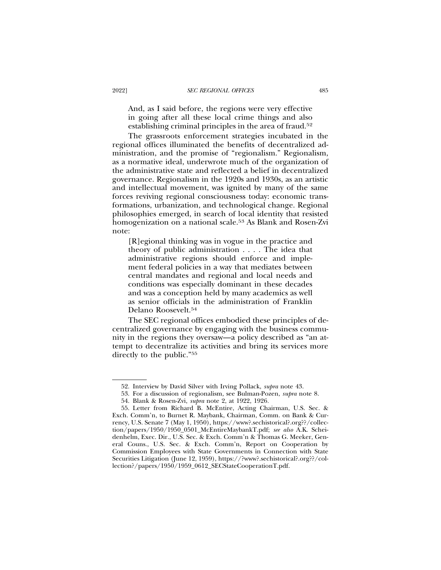And, as I said before, the regions were very effective in going after all these local crime things and also establishing criminal principles in the area of fraud.52

The grassroots enforcement strategies incubated in the regional offices illuminated the benefits of decentralized administration, and the promise of "regionalism." Regionalism, as a normative ideal, underwrote much of the organization of the administrative state and reflected a belief in decentralized governance. Regionalism in the 1920s and 1930s, as an artistic and intellectual movement, was ignited by many of the same forces reviving regional consciousness today: economic transformations, urbanization, and technological change. Regional philosophies emerged, in search of local identity that resisted homogenization on a national scale.53 As Blank and Rosen-Zvi note:

[R]egional thinking was in vogue in the practice and theory of public administration . . . . The idea that administrative regions should enforce and implement federal policies in a way that mediates between central mandates and regional and local needs and conditions was especially dominant in these decades and was a conception held by many academics as well as senior officials in the administration of Franklin Delano Roosevelt.54

The SEC regional offices embodied these principles of decentralized governance by engaging with the business community in the regions they oversaw—a policy described as "an attempt to decentralize its activities and bring its services more directly to the public."55

<sup>52.</sup> Interview by David Silver with Irving Pollack, *supra* note 43.

<sup>53.</sup> For a discussion of regionalism, see Bulman-Pozen, *supra* note 8.

<sup>54.</sup> Blank & Rosen-Zvi, *supra* note 2, at 1922, 1926*.*

<sup>55.</sup> Letter from Richard B. McEntire, Acting Chairman, U.S. Sec. & Exch. Comm'n, to Burnet R. Maybank, Chairman, Comm. on Bank & Currency, U.S. Senate 7 (May 1, 1950), https://www?.sechistorical?.org??/collection/papers/1950/1950\_0501\_McEntireMaybankT.pdf; *see also* A.K. Scheidenhelm, Exec. Dir., U.S. Sec. & Exch. Comm'n & Thomas G. Meeker, General Couns., U.S. Sec. & Exch. Comm'n, Report on Cooperation by Commission Employees with State Governments in Connection with State Securities Litigation (June 12, 1959), https://?www?.sechistorical?.org??/collection?/papers/1950/1959\_0612\_SECStateCooperationT.pdf.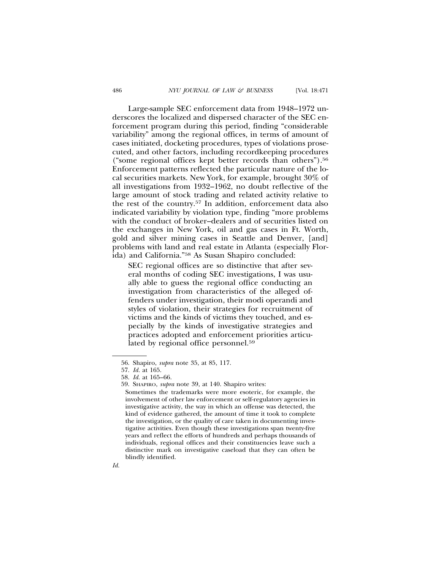Large-sample SEC enforcement data from 1948–1972 underscores the localized and dispersed character of the SEC enforcement program during this period, finding "considerable variability" among the regional offices, in terms of amount of cases initiated, docketing procedures, types of violations prosecuted, and other factors, including recordkeeping procedures ("some regional offices kept better records than others").56 Enforcement patterns reflected the particular nature of the local securities markets. New York, for example, brought 30% of all investigations from 1932–1962, no doubt reflective of the large amount of stock trading and related activity relative to the rest of the country.57 In addition, enforcement data also indicated variability by violation type, finding "more problems with the conduct of broker–dealers and of securities listed on the exchanges in New York, oil and gas cases in Ft. Worth, gold and silver mining cases in Seattle and Denver, [and] problems with land and real estate in Atlanta (especially Florida) and California."58 As Susan Shapiro concluded:

SEC regional offices are so distinctive that after several months of coding SEC investigations, I was usually able to guess the regional office conducting an investigation from characteristics of the alleged offenders under investigation, their modi operandi and styles of violation, their strategies for recruitment of victims and the kinds of victims they touched, and especially by the kinds of investigative strategies and practices adopted and enforcement priorities articulated by regional office personnel.59

<sup>56.</sup> Shapiro, *supra* note 35, at 85, 117.

<sup>57.</sup> *Id.* at 165.

<sup>58.</sup> *Id.* at 165–66.

<sup>59.</sup> SHAPIRO, *supra* note 39, at 140. Shapiro writes:

Sometimes the trademarks were more esoteric, for example, the involvement of other law enforcement or self-regulatory agencies in investigative activity, the way in which an offense was detected, the kind of evidence gathered, the amount of time it took to complete the investigation, or the quality of care taken in documenting investigative activities. Even though these investigations span twenty-five years and reflect the efforts of hundreds and perhaps thousands of individuals, regional offices and their constituencies leave such a distinctive mark on investigative caseload that they can often be blindly identified.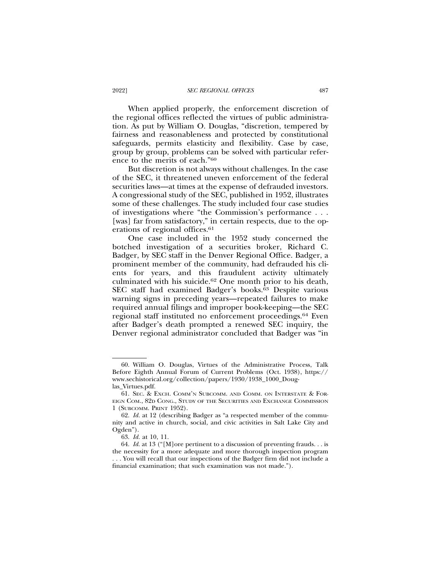When applied properly, the enforcement discretion of the regional offices reflected the virtues of public administration. As put by William O. Douglas, "discretion, tempered by fairness and reasonableness and protected by constitutional safeguards, permits elasticity and flexibility. Case by case, group by group, problems can be solved with particular reference to the merits of each."60

But discretion is not always without challenges. In the case of the SEC, it threatened uneven enforcement of the federal securities laws—at times at the expense of defrauded investors. A congressional study of the SEC, published in 1952, illustrates some of these challenges. The study included four case studies of investigations where "the Commission's performance . . . [was] far from satisfactory," in certain respects, due to the operations of regional offices.<sup>61</sup>

One case included in the 1952 study concerned the botched investigation of a securities broker, Richard C. Badger, by SEC staff in the Denver Regional Office. Badger, a prominent member of the community, had defrauded his clients for years, and this fraudulent activity ultimately culminated with his suicide.62 One month prior to his death, SEC staff had examined Badger's books.63 Despite various warning signs in preceding years—repeated failures to make required annual filings and improper book-keeping—the SEC regional staff instituted no enforcement proceedings.64 Even after Badger's death prompted a renewed SEC inquiry, the Denver regional administrator concluded that Badger was "in

<sup>60.</sup> William O. Douglas, Virtues of the Administrative Process, Talk Before Eighth Annual Forum of Current Problems (Oct. 1938), https:// www.sechistorical.org/collection/papers/1930/1938\_1000\_Douglas\_Virtues.pdf.

<sup>61.</sup> SEC. & EXCH. COMM'N SUBCOMM. AND COMM. ON INTERSTATE & FOR-EIGN COM., 82D CONG., STUDY OF THE SECURITIES AND EXCHANGE COMMISSION 1 (SUBCOMM. PRINT 1952).

<sup>62.</sup> *Id.* at 12 (describing Badger as "a respected member of the community and active in church, social, and civic activities in Salt Lake City and Ogden").

<sup>63.</sup> *Id.* at 10, 11.

<sup>64.</sup> *Id.* at 13 ("[M]ore pertinent to a discussion of preventing frauds. . . is the necessity for a more adequate and more thorough inspection program . . . You will recall that our inspections of the Badger firm did not include a financial examination; that such examination was not made.").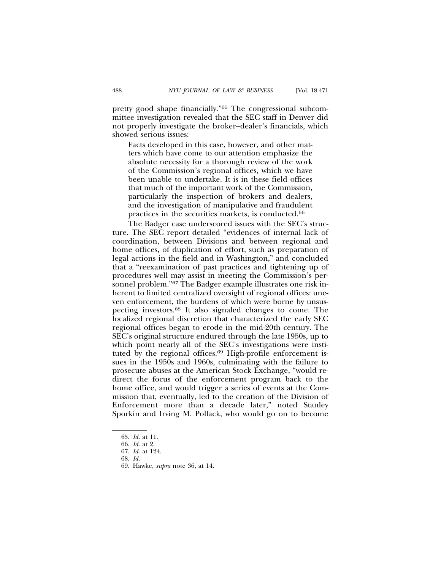pretty good shape financially."65 The congressional subcommittee investigation revealed that the SEC staff in Denver did not properly investigate the broker–dealer's financials, which showed serious issues:

Facts developed in this case, however, and other matters which have come to our attention emphasize the absolute necessity for a thorough review of the work of the Commission's regional offices, which we have been unable to undertake. It is in these field offices that much of the important work of the Commission, particularly the inspection of brokers and dealers, and the investigation of manipulative and fraudulent practices in the securities markets, is conducted.66

The Badger case underscored issues with the SEC's structure. The SEC report detailed "evidences of internal lack of coordination, between Divisions and between regional and home offices, of duplication of effort, such as preparation of legal actions in the field and in Washington," and concluded that a "reexamination of past practices and tightening up of procedures well may assist in meeting the Commission's personnel problem."<sup>67</sup> The Badger example illustrates one risk inherent to limited centralized oversight of regional offices: uneven enforcement, the burdens of which were borne by unsuspecting investors.68 It also signaled changes to come. The localized regional discretion that characterized the early SEC regional offices began to erode in the mid-20th century. The SEC's original structure endured through the late 1950s, up to which point nearly all of the SEC's investigations were instituted by the regional offices.<sup>69</sup> High-profile enforcement issues in the 1950s and 1960s, culminating with the failure to prosecute abuses at the American Stock Exchange, "would redirect the focus of the enforcement program back to the home office, and would trigger a series of events at the Commission that, eventually, led to the creation of the Division of Enforcement more than a decade later," noted Stanley Sporkin and Irving M. Pollack, who would go on to become

<sup>65.</sup> *Id.* at 11.

<sup>66.</sup> *Id.* at 2.

<sup>67.</sup> *Id.* at 124.

<sup>68.</sup> *Id.*

<sup>69.</sup> Hawke, *supra* note 36, at 14.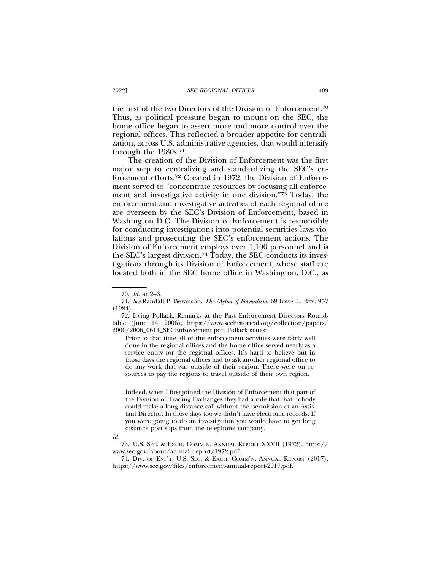the first of the two Directors of the Division of Enforcement.70 Thus, as political pressure began to mount on the SEC, the home office began to assert more and more control over the regional offices. This reflected a broader appetite for centralization, across U.S. administrative agencies, that would intensify through the 1980s.71

The creation of the Division of Enforcement was the first major step to centralizing and standardizing the SEC's enforcement efforts.72 Created in 1972, the Division of Enforcement served to "concentrate resources by focusing all enforcement and investigative activity in one division."73 Today, the enforcement and investigative activities of each regional office are overseen by the SEC's Division of Enforcement, based in Washington D.C. The Division of Enforcement is responsible for conducting investigations into potential securities laws violations and prosecuting the SEC's enforcement actions. The Division of Enforcement employs over 1,100 personnel and is the SEC's largest division.74 Today, the SEC conducts its investigations through its Division of Enforcement, whose staff are located both in the SEC home office in Washington, D.C., as

72. Irving Pollack, Remarks at the Past Enforcement Directors Roundtable (June 14, 2006), https://www.sechistorical.org/collection/papers/ 2000/2006\_0614\_SECEnforcement.pdf. Pollack states:

Prior to that time all of the enforcement activities were fairly well done in the regional offices and the home office served nearly as a service entity for the regional offices. It's hard to believe but in those days the regional offices had to ask another regional office to do any work that was outside of their region. There were on resources to pay the regions to travel outside of their own region.

Indeed, when I first joined the Division of Enforcement that part of the Division of Trading Exchanges they had a rule that that nobody could make a long distance call without the permission of an Assistant Director. In those days too we didn't have electronic records. If you were going to do an investigation you would have to get long distance post slips from the telephone company.

73. U.S. SEC. & EXCH. COMM'N, ANNUAL REPORT XXVII (1972), https:// www.sec.gov/about/annual\_report/1972.pdf.

74. DIV. OF ENF'T, U.S. SEC. & EXCH. COMM'N, ANNUAL REPORT (2017), https://www.sec.gov/files/enforcement-annual-report-2017.pdf.

<sup>70.</sup> *Id.* at 2–3.

<sup>71.</sup> *See* Randall P. Bezanson, *The Myths of Formalism*, 69 IOWA L. REV. 957 (1984).

*Id.*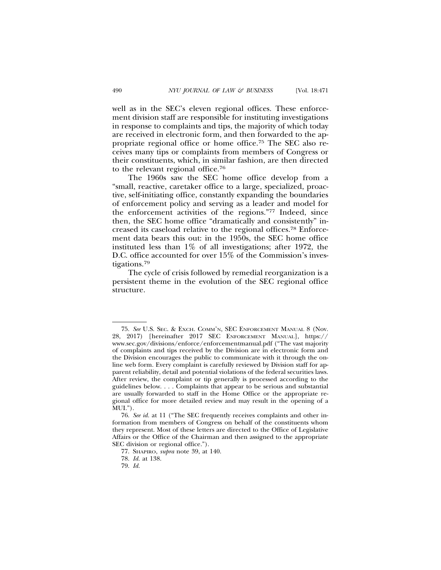well as in the SEC's eleven regional offices. These enforcement division staff are responsible for instituting investigations in response to complaints and tips, the majority of which today are received in electronic form, and then forwarded to the appropriate regional office or home office.75 The SEC also receives many tips or complaints from members of Congress or their constituents, which, in similar fashion, are then directed to the relevant regional office.76

The 1960s saw the SEC home office develop from a "small, reactive, caretaker office to a large, specialized, proactive, self-initiating office, constantly expanding the boundaries of enforcement policy and serving as a leader and model for the enforcement activities of the regions."77 Indeed, since then, the SEC home office "dramatically and consistently" increased its caseload relative to the regional offices.78 Enforcement data bears this out: in the 1950s, the SEC home office instituted less than 1% of all investigations; after 1972, the D.C. office accounted for over 15% of the Commission's investigations.79

The cycle of crisis followed by remedial reorganization is a persistent theme in the evolution of the SEC regional office structure.

<sup>75.</sup> *See* U.S. SEC. & EXCH. COMM'N, SEC ENFORCEMENT MANUAL 8 (Nov. 28, 2017) [hereinafter 2017 SEC ENFORCEMENT MANUAL], https:// www.sec.gov/divisions/enforce/enforcementmanual.pdf ("The vast majority of complaints and tips received by the Division are in electronic form and the Division encourages the public to communicate with it through the online web form. Every complaint is carefully reviewed by Division staff for apparent reliability, detail and potential violations of the federal securities laws. After review, the complaint or tip generally is processed according to the guidelines below. . . . Complaints that appear to be serious and substantial are usually forwarded to staff in the Home Office or the appropriate regional office for more detailed review and may result in the opening of a MUI.").

<sup>76.</sup> *See id.* at 11 ("The SEC frequently receives complaints and other information from members of Congress on behalf of the constituents whom they represent. Most of these letters are directed to the Office of Legislative Affairs or the Office of the Chairman and then assigned to the appropriate SEC division or regional office.").

<sup>77.</sup> SHAPIRO, *supra* note 39, at 140.

<sup>78.</sup> *Id.* at 138.

<sup>79.</sup> *Id.*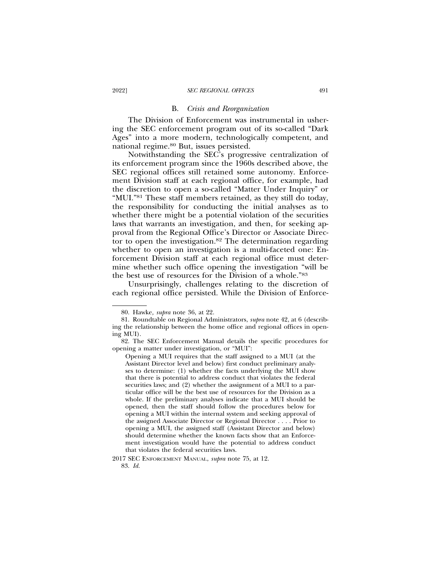#### B. *Crisis and Reorganization*

The Division of Enforcement was instrumental in ushering the SEC enforcement program out of its so-called "Dark Ages" into a more modern, technologically competent, and national regime.80 But, issues persisted.

Notwithstanding the SEC's progressive centralization of its enforcement program since the 1960s described above, the SEC regional offices still retained some autonomy. Enforcement Division staff at each regional office, for example, had the discretion to open a so-called "Matter Under Inquiry" or "MUI."81 These staff members retained, as they still do today, the responsibility for conducting the initial analyses as to whether there might be a potential violation of the securities laws that warrants an investigation, and then, for seeking approval from the Regional Office's Director or Associate Director to open the investigation.<sup>82</sup> The determination regarding whether to open an investigation is a multi-faceted one: Enforcement Division staff at each regional office must determine whether such office opening the investigation "will be the best use of resources for the Division of a whole."83

Unsurprisingly, challenges relating to the discretion of each regional office persisted. While the Division of Enforce-

2017 SEC ENFORCEMENT MANUAL, *supra* note 75, at 12.

<sup>80.</sup> Hawke*, supra* note 36, at 22.

<sup>81.</sup> Roundtable on Regional Administrators, *supra* note 42, at 6 (describing the relationship between the home office and regional offices in opening MUI).

<sup>82.</sup> The SEC Enforcement Manual details the specific procedures for opening a matter under investigation, or "MUI":

Opening a MUI requires that the staff assigned to a MUI (at the Assistant Director level and below) first conduct preliminary analyses to determine: (1) whether the facts underlying the MUI show that there is potential to address conduct that violates the federal securities laws; and (2) whether the assignment of a MUI to a particular office will be the best use of resources for the Division as a whole. If the preliminary analyses indicate that a MUI should be opened, then the staff should follow the procedures below for opening a MUI within the internal system and seeking approval of the assigned Associate Director or Regional Director . . . . Prior to opening a MUI, the assigned staff (Assistant Director and below) should determine whether the known facts show that an Enforcement investigation would have the potential to address conduct that violates the federal securities laws.

<sup>83.</sup> *Id.*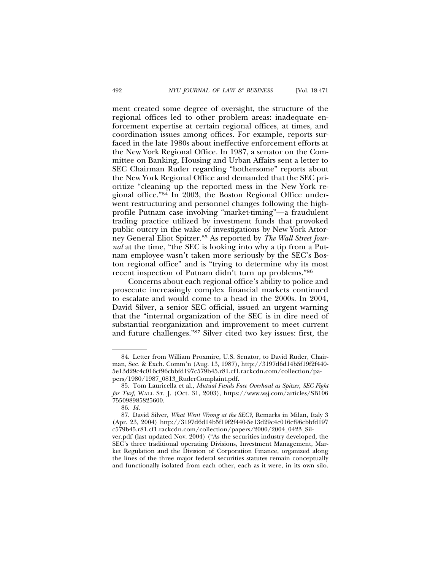ment created some degree of oversight, the structure of the regional offices led to other problem areas: inadequate enforcement expertise at certain regional offices, at times, and coordination issues among offices. For example, reports surfaced in the late 1980s about ineffective enforcement efforts at the New York Regional Office. In 1987, a senator on the Committee on Banking, Housing and Urban Affairs sent a letter to SEC Chairman Ruder regarding "bothersome" reports about the New York Regional Office and demanded that the SEC prioritize "cleaning up the reported mess in the New York regional office."84 In 2003, the Boston Regional Office underwent restructuring and personnel changes following the highprofile Putnam case involving "market-timing"—a fraudulent trading practice utilized by investment funds that provoked public outcry in the wake of investigations by New York Attorney General Eliot Spitzer.85 As reported by *The Wall Street Journal* at the time, "the SEC is looking into why a tip from a Putnam employee wasn't taken more seriously by the SEC's Boston regional office" and is "trying to determine why its most recent inspection of Putnam didn't turn up problems."86

Concerns about each regional office's ability to police and prosecute increasingly complex financial markets continued to escalate and would come to a head in the 2000s. In 2004, David Silver, a senior SEC official, issued an urgent warning that the "internal organization of the SEC is in dire need of substantial reorganization and improvement to meet current and future challenges."87 Silver cited two key issues: first, the

<sup>84.</sup> Letter from William Proxmire, U.S. Senator, to David Ruder, Chairman, Sec. & Exch. Comm'n (Aug. 13, 1987), http://3197d6d14b5f19f2f440- 5e13d29c4c016cf96cbbfd197c579b45.r81.cf1.rackcdn.com/collection/papers/1980/1987\_0813\_RuderComplaint.pdf.

<sup>85.</sup> Tom Lauricella et al., *Mutual Funds Face Overhaul as Spitzer, SEC Fight for Turf,* WALL ST. J. (Oct. 31, 2003), https://www.wsj.com/articles/SB106 755098985825600.

<sup>86.</sup> *Id.*

<sup>87.</sup> David Silver, *What Went Wrong at the SEC?*, Remarks in Milan, Italy 3 (Apr. 23, 2004) http://3197d6d14b5f19f2f440-5e13d29c4c016cf96cbbfd197 c579b45.r81.cf1.rackcdn.com/collection/papers/2000/2004\_0423\_Silver.pdf (last updated Nov. 2004) ("As the securities industry developed, the

SEC's three traditional operating Divisions, Investment Management, Market Regulation and the Division of Corporation Finance, organized along the lines of the three major federal securities statutes remain conceptually and functionally isolated from each other, each as it were, in its own silo.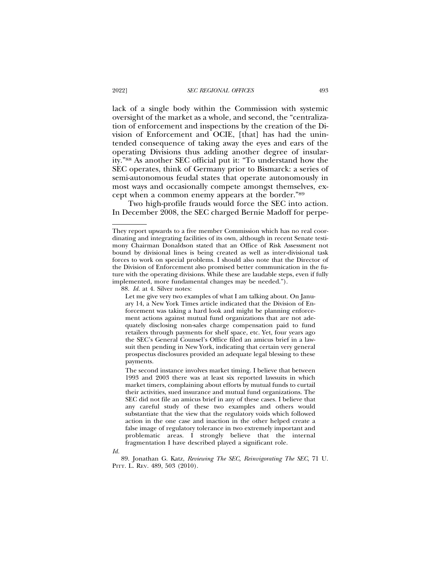lack of a single body within the Commission with systemic oversight of the market as a whole, and second, the "centralization of enforcement and inspections by the creation of the Division of Enforcement and OCIE, [that] has had the unintended consequence of taking away the eyes and ears of the operating Divisions thus adding another degree of insularity."88 As another SEC official put it: "To understand how the SEC operates, think of Germany prior to Bismarck: a series of semi-autonomous feudal states that operate autonomously in most ways and occasionally compete amongst themselves, except when a common enemy appears at the border."89

Two high-profile frauds would force the SEC into action. In December 2008, the SEC charged Bernie Madoff for perpe-

88. *Id.* at 4. Silver notes:

Let me give very two examples of what I am talking about. On January 14, a New York Times article indicated that the Division of Enforcement was taking a hard look and might be planning enforcement actions against mutual fund organizations that are not adequately disclosing non-sales charge compensation paid to fund retailers through payments for shelf space, etc. Yet, four years ago the SEC's General Counsel's Office filed an amicus brief in a lawsuit then pending in New York, indicating that certain very general prospectus disclosures provided an adequate legal blessing to these payments.

The second instance involves market timing. I believe that between 1993 and 2003 there was at least six reported lawsuits in which market timers, complaining about efforts by mutual funds to curtail their activities, sued insurance and mutual fund organizations. The SEC did not file an amicus brief in any of these cases. I believe that any careful study of these two examples and others would substantiate that the view that the regulatory voids which followed action in the one case and inaction in the other helped create a false image of regulatory tolerance in two extremely important and problematic areas. I strongly believe that the internal fragmentation I have described played a significant role.

*Id.*

89. Jonathan G. Katz, *Reviewing The SEC, Reinvigorating The SEC*, 71 U. PITT. L. REV. 489, 503 (2010).

They report upwards to a five member Commission which has no real coordinating and integrating facilities of its own, although in recent Senate testimony Chairman Donaldson stated that an Office of Risk Assessment not bound by divisional lines is being created as well as inter-divisional task forces to work on special problems. I should also note that the Director of the Division of Enforcement also promised better communication in the future with the operating divisions. While these are laudable steps, even if fully implemented, more fundamental changes may be needed.").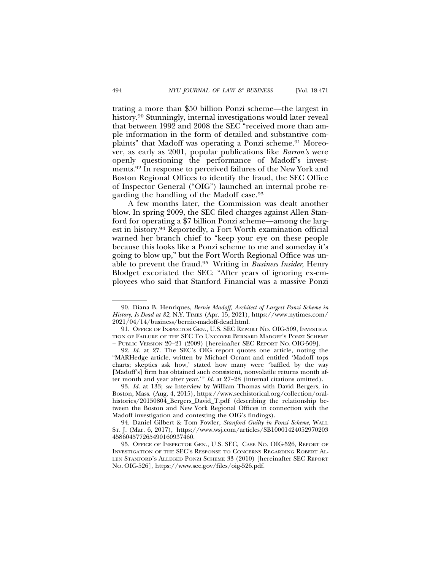trating a more than \$50 billion Ponzi scheme—the largest in history.<sup>90</sup> Stunningly, internal investigations would later reveal that between 1992 and 2008 the SEC "received more than ample information in the form of detailed and substantive complaints" that Madoff was operating a Ponzi scheme.91 Moreover, as early as 2001, popular publications like *Barron's* were openly questioning the performance of Madoff's investments.92 In response to perceived failures of the New York and Boston Regional Offices to identify the fraud, the SEC Office of Inspector General ("OIG") launched an internal probe regarding the handling of the Madoff case.93

A few months later, the Commission was dealt another blow. In spring 2009, the SEC filed charges against Allen Stanford for operating a \$7 billion Ponzi scheme—among the largest in history.94 Reportedly, a Fort Worth examination official warned her branch chief to "keep your eye on these people because this looks like a Ponzi scheme to me and someday it's going to blow up," but the Fort Worth Regional Office was unable to prevent the fraud.95 Writing in *Business Insider*, Henry Blodget excoriated the SEC: "After years of ignoring ex-employees who said that Stanford Financial was a massive Ponzi

93. *Id.* at 133; *see* Interview by William Thomas with David Bergers, in Boston, Mass. (Aug. 4, 2015), https://www.sechistorical.org/collection/oralhistories/20150804\_Bergers\_David\_T.pdf (describing the relationship between the Boston and New York Regional Offices in connection with the Madoff investigation and contesting the OIG's findings).

94. Daniel Gilbert & Tom Fowler, *Stanford Guilty in Ponzi Scheme*, WALL ST. J. (Mar. 6, 2017), https://www.wsj.com/articles/SB10001424052970203 458604577265490160937460.

95. OFFICE OF INSPECTOR GEN., U.S. SEC, CASE NO. OIG-526, REPORT OF INVESTIGATION OF THE SEC'S RESPONSE TO CONCERNS REGARDING ROBERT AL-LEN STANFORD'S ALLEGED PONZI SCHEME 33 (2010) [hereinafter SEC REPORT NO. OIG-526], https://www.sec.gov/files/oig-526.pdf.

<sup>90.</sup> Diana B. Henriques, *Bernie Madoff, Architect of Largest Ponzi Scheme in History, Is Dead at 82*, N.Y. TIMES (Apr. 15, 2021), https://www.nytimes.com/ 2021/04/14/business/bernie-madoff-dead.html.

<sup>91.</sup> OFFICE OF INSPECTOR GEN., U.S. SEC REPORT NO. OIG-509, INVESTIGA-TION OF FAILURE OF THE SEC TO UNCOVER BERNARD MADOFF'S PONZI SCHEME – PUBLIC VERSION 20–21 (2009) [hereinafter SEC REPORT NO. OIG-509].

<sup>92.</sup> *Id.* at 27. The SEC's OIG report quotes one article, noting the "MARHedge article, written by Michael Ocrant and entitled 'Madoff tops charts; skeptics ask how,' stated how many were 'baffled by the way [Madoff's] firm has obtained such consistent, nonvolatile returns month after month and year after year.'" *Id.* at 27–28 (internal citations omitted).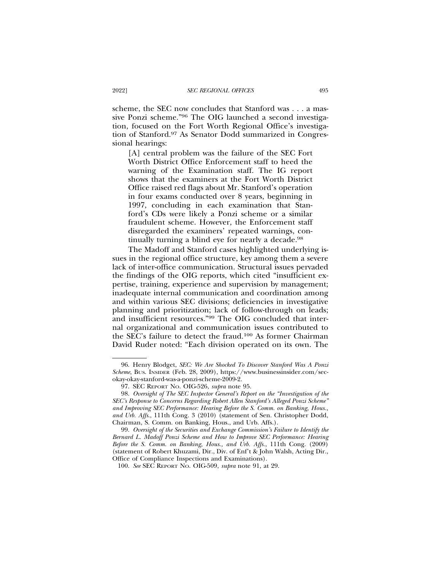scheme, the SEC now concludes that Stanford was . . . a massive Ponzi scheme."96 The OIG launched a second investigation, focused on the Fort Worth Regional Office's investigation of Stanford.97 As Senator Dodd summarized in Congressional hearings:

[A] central problem was the failure of the SEC Fort Worth District Office Enforcement staff to heed the warning of the Examination staff. The IG report shows that the examiners at the Fort Worth District Office raised red flags about Mr. Stanford's operation in four exams conducted over 8 years, beginning in 1997, concluding in each examination that Stanford's CDs were likely a Ponzi scheme or a similar fraudulent scheme. However, the Enforcement staff disregarded the examiners' repeated warnings, continually turning a blind eye for nearly a decade.<sup>98</sup>

The Madoff and Stanford cases highlighted underlying issues in the regional office structure, key among them a severe lack of inter-office communication. Structural issues pervaded the findings of the OIG reports, which cited "insufficient expertise, training, experience and supervision by management; inadequate internal communication and coordination among and within various SEC divisions; deficiencies in investigative planning and prioritization; lack of follow-through on leads; and insufficient resources."99 The OIG concluded that internal organizational and communication issues contributed to the SEC's failure to detect the fraud.100 As former Chairman David Ruder noted: "Each division operated on its own. The

<sup>96.</sup> Henry Blodget, *SEC: We Are Shocked To Discover Stanford Was A Ponzi Scheme*, BUS. INSIDER (Feb. 28, 2009), https://www.businessinsider.com/secokay-okay-stanford-was-a-ponzi-scheme-2009-2.

<sup>97.</sup> SEC REPORT NO. OIG-526, *supra* note 95.

<sup>98.</sup> *Oversight of The SEC Inspector General's Report on the "Investigation of the SEC's Response to Concerns Regarding Robert Allen Stanford's Alleged Ponzi Scheme" and Improving SEC Performance: Hearing Before the S. Comm. on Banking, Hous., and Urb. Affs*., 111th Cong. 3 (2010) (statement of Sen. Christopher Dodd, Chairman, S. Comm. on Banking, Hous., and Urb. Affs.).

<sup>99.</sup> *Oversight of the Securities and Exchange Commission's Failure to Identify the Bernard L. Madoff Ponzi Scheme and How to Improve SEC Performance: Hearing Before the S. Comm. on Banking, Hous., and Urb. Affs.*, 111th Cong. (2009) (statement of Robert Khuzami, Dir., Div. of Enf't & John Walsh, Acting Dir., Office of Compliance Inspections and Examinations).

<sup>100.</sup> *See* SEC REPORT NO. OIG-509, *supra* note 91, at 29.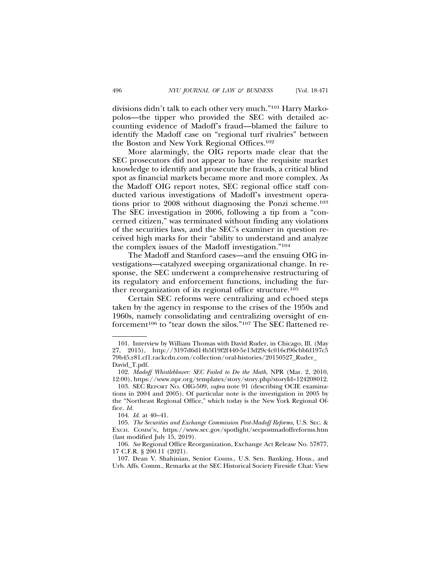divisions didn't talk to each other very much."101 Harry Markopolos—the tipper who provided the SEC with detailed accounting evidence of Madoff's fraud—blamed the failure to identify the Madoff case on "regional turf rivalries" between the Boston and New York Regional Offices.102

More alarmingly, the OIG reports made clear that the SEC prosecutors did not appear to have the requisite market knowledge to identify and prosecute the frauds, a critical blind spot as financial markets became more and more complex. As the Madoff OIG report notes, SEC regional office staff conducted various investigations of Madoff's investment operations prior to 2008 without diagnosing the Ponzi scheme.103 The SEC investigation in 2006, following a tip from a "concerned citizen," was terminated without finding any violations of the securities laws, and the SEC's examiner in question received high marks for their "ability to understand and analyze the complex issues of the Madoff investigation."104

The Madoff and Stanford cases—and the ensuing OIG investigations—catalyzed sweeping organizational change. In response, the SEC underwent a comprehensive restructuring of its regulatory and enforcement functions, including the further reorganization of its regional office structure.105

Certain SEC reforms were centralizing and echoed steps taken by the agency in response to the crises of the 1950s and 1960s, namely consolidating and centralizing oversight of enforcement<sup>106</sup> to "tear down the silos."<sup>107</sup> The SEC flattened re-

<sup>101.</sup> Interview by William Thomas with David Ruder, in Chicago, Ill. (May 27, 2015), http://3197d6d14b5f19f2f440-5e13d29c4c016cf96cbbfd197c5 79b45.r81.cf1.rackcdn.com/collection/oral-histories/20150527\_Ruder\_ David\_T.pdf.

<sup>102.</sup> *Madoff Whistleblower: SEC Failed to Do the Math*, NPR (Mar. 2, 2010, 12:00), https://www.npr.org/templates/story/story.php?storyId=124208012.

<sup>103.</sup> SEC REPORT NO. OIG-509, *supra* note 91 (describing OCIE examinations in 2004 and 2005). Of particular note is the investigation in 2005 by the "Northeast Regional Office," which today is the New York Regional Office. *Id.*

<sup>104.</sup> *Id.* at 40–41.

<sup>105.</sup> *The Securities and Exchange Commission Post-Madoff Reforms*, U.S. SEC. & EXCH. COMM'N, https://www.sec.gov/spotlight/secpostmadoffreforms.htm (last modified July 15, 2019).

<sup>106.</sup> *See* Regional Office Reorganization, Exchange Act Release No. 57877, 17 C.F.R. § 200.11 (2021).

<sup>107.</sup> Dean V. Shahinian, Senior Couns., U.S. Sen. Banking, Hous., and Urb. Affs. Comm., Remarks at the SEC Historical Society Fireside Chat: View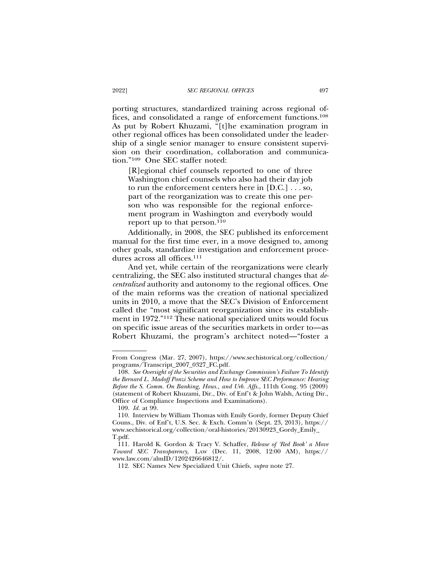porting structures, standardized training across regional offices, and consolidated a range of enforcement functions.108 As put by Robert Khuzami, "[t]he examination program in other regional offices has been consolidated under the leadership of a single senior manager to ensure consistent supervision on their coordination, collaboration and communication."109 One SEC staffer noted:

[R]egional chief counsels reported to one of three Washington chief counsels who also had their day job to run the enforcement centers here in [D.C.] . . . so, part of the reorganization was to create this one person who was responsible for the regional enforcement program in Washington and everybody would report up to that person.<sup>110</sup>

Additionally, in 2008, the SEC published its enforcement manual for the first time ever, in a move designed to, among other goals, standardize investigation and enforcement procedures across all offices.111

And yet, while certain of the reorganizations were clearly centralizing, the SEC also instituted structural changes that *decentralized* authority and autonomy to the regional offices. One of the main reforms was the creation of national specialized units in 2010, a move that the SEC's Division of Enforcement called the "most significant reorganization since its establishment in 1972."112 These national specialized units would focus on specific issue areas of the securities markets in order to—as Robert Khuzami, the program's architect noted—"foster a

From Congress (Mar. 27, 2007), https://www.sechistorical.org/collection/ programs/Transcript\_2007\_0327\_FC.pdf.

<sup>108.</sup> *See Oversight of the Securities and Exchange Commission's Failure To Identify the Bernard L. Madoff Ponzi Scheme and How to Improve SEC Performance: Hearing Before the S. Comm. On Banking, Hous., and Urb. Affs.*, 111th Cong. 95 (2009) (statement of Robert Khuzami, Dir., Div. of Enf't & John Walsh, Acting Dir., Office of Compliance Inspections and Examinations).

<sup>109.</sup> *Id.* at 99.

<sup>110.</sup> Interview by William Thomas with Emily Gordy, former Deputy Chief Couns., Div. of Enf't, U.S. Sec. & Exch. Comm'n (Sept. 23, 2013), https:// www.sechistorical.org/collection/oral-histories/20130923\_Gordy\_Emily\_ T.pdf.

<sup>111.</sup> Harold K. Gordon & Tracy V. Schaffer, *Release of 'Red Book' a Move Toward SEC Transparency*, LAW (Dec. 11, 2008, 12:00 AM), https:// www.law.com/almID/1202426646812/.

<sup>112.</sup> SEC Names New Specialized Unit Chiefs, *supra* note 27.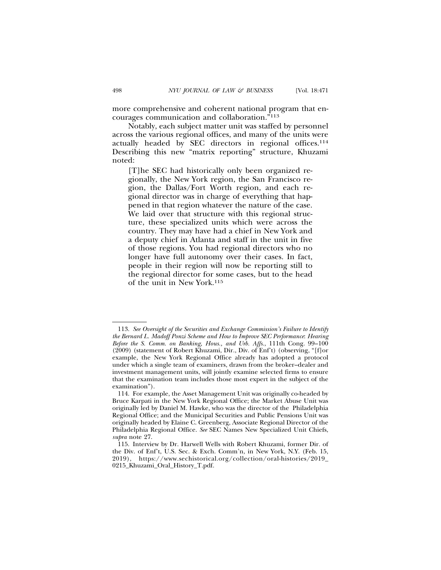more comprehensive and coherent national program that encourages communication and collaboration."113

Notably, each subject matter unit was staffed by personnel across the various regional offices, and many of the units were actually headed by SEC directors in regional offices.114 Describing this new "matrix reporting" structure, Khuzami noted:

[T]he SEC had historically only been organized regionally, the New York region, the San Francisco region, the Dallas/Fort Worth region, and each regional director was in charge of everything that happened in that region whatever the nature of the case. We laid over that structure with this regional structure, these specialized units which were across the country. They may have had a chief in New York and a deputy chief in Atlanta and staff in the unit in five of those regions. You had regional directors who no longer have full autonomy over their cases. In fact, people in their region will now be reporting still to the regional director for some cases, but to the head of the unit in New York.115

<sup>113.</sup> *See Oversight of the Securities and Exchange Commission's Failure to Identify the Bernard L. Madoff Ponzi Scheme and How to Improve SEC Performance*: *Hearing Before the S. Comm. on Banking, Hous., and Urb. Affs.*, 111th Cong. 99–100 (2009) (statement of Robert Khuzami, Dir., Div. of Enf't) (observing, "[f]or example, the New York Regional Office already has adopted a protocol under which a single team of examiners, drawn from the broker–dealer and investment management units, will jointly examine selected firms to ensure that the examination team includes those most expert in the subject of the examination").

<sup>114.</sup> For example, the Asset Management Unit was originally co-headed by Bruce Karpati in the New York Regional Office; the Market Abuse Unit was originally led by Daniel M. Hawke, who was the director of the Philadelphia Regional Office; and the Municipal Securities and Public Pensions Unit was originally headed by Elaine C. Greenberg, Associate Regional Director of the Philadelphia Regional Office. *See* SEC Names New Specialized Unit Chiefs, *supra* note 27.

<sup>115.</sup> Interview by Dr. Harwell Wells with Robert Khuzami, former Dir. of the Div. of Enf't, U.S. Sec. & Exch. Comm'n, in New York, N.Y. (Feb. 15, 2019), https://www.sechistorical.org/collection/oral-histories/2019\_ 0215\_Khuzami\_Oral\_History\_T.pdf.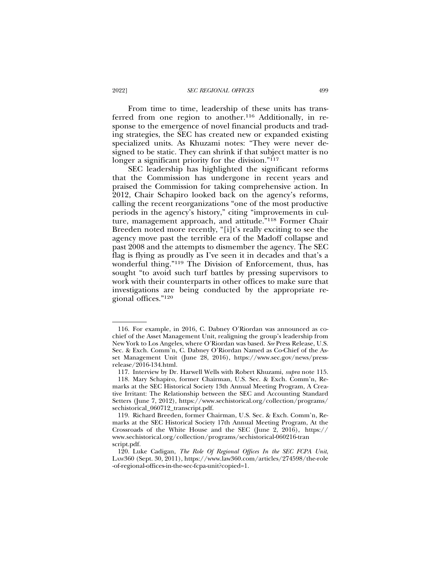From time to time, leadership of these units has transferred from one region to another.116 Additionally, in response to the emergence of novel financial products and trading strategies, the SEC has created new or expanded existing specialized units. As Khuzami notes: "They were never designed to be static. They can shrink if that subject matter is no longer a significant priority for the division."<sup>117</sup>

SEC leadership has highlighted the significant reforms that the Commission has undergone in recent years and praised the Commission for taking comprehensive action. In 2012, Chair Schapiro looked back on the agency's reforms, calling the recent reorganizations "one of the most productive periods in the agency's history," citing "improvements in culture, management approach, and attitude."118 Former Chair Breeden noted more recently, "[i]t's really exciting to see the agency move past the terrible era of the Madoff collapse and past 2008 and the attempts to dismember the agency. The SEC flag is flying as proudly as I've seen it in decades and that's a wonderful thing."119 The Division of Enforcement, thus, has sought "to avoid such turf battles by pressing supervisors to work with their counterparts in other offices to make sure that investigations are being conducted by the appropriate regional offices."120

<sup>116.</sup> For example, in 2016, C. Dabney O'Riordan was announced as cochief of the Asset Management Unit, realigning the group's leadership from New York to Los Angeles, where O'Riordan was based. *See* Press Release, U.S. Sec. & Exch. Comm'n, C. Dabney O'Riordan Named as Co-Chief of the Asset Management Unit (June 28, 2016), https://www.sec.gov/news/pressrelease/2016-134.html.

<sup>117.</sup> Interview by Dr. Harwell Wells with Robert Khuzami, *supra* note 115.

<sup>118.</sup> Mary Schapiro, former Chairman, U.S. Sec. & Exch. Comm'n, Remarks at the SEC Historical Society 13th Annual Meeting Program, A Creative Irritant: The Relationship between the SEC and Accounting Standard Setters (June 7, 2012), https://www.sechistorical.org/collection/programs/ sechistorical\_060712\_transcript.pdf.

<sup>119.</sup> Richard Breeden, former Chairman, U.S. Sec. & Exch. Comm'n, Remarks at the SEC Historical Society 17th Annual Meeting Program, At the Crossroads of the White House and the SEC (June 2, 2016), https:// www.sechistorical.org/collection/programs/sechistorical-060216-tran script.pdf.

<sup>120.</sup> Luke Cadigan, *The Role Of Regional Offices In the SEC FCPA Unit*, LAW360 (Sept. 30, 2011), https://www.law360.com/articles/274598/the-role -of-regional-offices-in-the-sec-fcpa-unit?copied=1.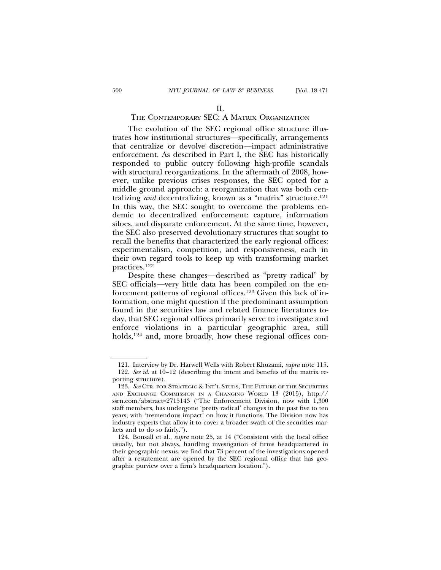# THE CONTEMPORARY SEC: A MATRIX ORGANIZATION

The evolution of the SEC regional office structure illustrates how institutional structures—specifically, arrangements that centralize or devolve discretion—impact administrative enforcement. As described in Part I, the SEC has historically responded to public outcry following high-profile scandals with structural reorganizations. In the aftermath of 2008, however, unlike previous crises responses, the SEC opted for a middle ground approach: a reorganization that was both centralizing *and* decentralizing, known as a "matrix" structure.121 In this way, the SEC sought to overcome the problems endemic to decentralized enforcement: capture, information siloes, and disparate enforcement. At the same time, however, the SEC also preserved devolutionary structures that sought to recall the benefits that characterized the early regional offices: experimentalism, competition, and responsiveness, each in their own regard tools to keep up with transforming market practices.122

Despite these changes—described as "pretty radical" by SEC officials—very little data has been compiled on the enforcement patterns of regional offices.123 Given this lack of information, one might question if the predominant assumption found in the securities law and related finance literatures today, that SEC regional offices primarily serve to investigate and enforce violations in a particular geographic area, still holds,<sup>124</sup> and, more broadly, how these regional offices con-

<sup>121.</sup> Interview by Dr. Harwell Wells with Robert Khuzami, *supra* note 115. 122. *See id*. at 10–12 (describing the intent and benefits of the matrix reporting structure).

<sup>123.</sup> *See* CTR. FOR STRATEGIC & INT'L STUDS, THE FUTURE OF THE SECURITIES AND EXCHANGE COMMISSION IN A CHANGING WORLD 13 (2015), http:// ssrn.com/abstract=2715143 ("The Enforcement Division, now with 1,300 staff members, has undergone 'pretty radical' changes in the past five to ten years, with 'tremendous impact' on how it functions. The Division now has industry experts that allow it to cover a broader swath of the securities markets and to do so fairly.").

<sup>124.</sup> Bonsall et al., *supra* note 25, at 14 ("Consistent with the local office usually, but not always, handling investigation of firms headquartered in their geographic nexus, we find that 73 percent of the investigations opened after a restatement are opened by the SEC regional office that has geographic purview over a firm's headquarters location.").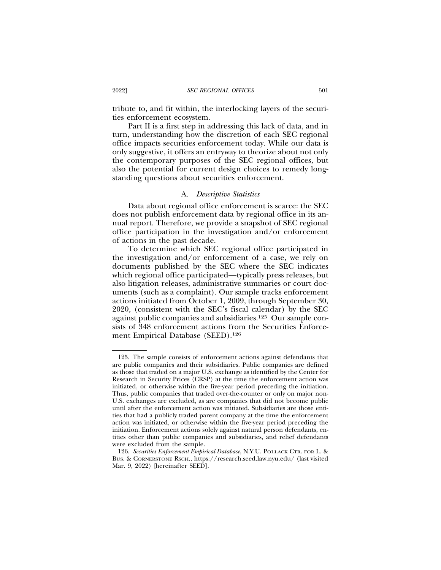tribute to, and fit within, the interlocking layers of the securities enforcement ecosystem.

Part II is a first step in addressing this lack of data, and in turn, understanding how the discretion of each SEC regional office impacts securities enforcement today. While our data is only suggestive, it offers an entryway to theorize about not only the contemporary purposes of the SEC regional offices, but also the potential for current design choices to remedy longstanding questions about securities enforcement.

#### A. *Descriptive Statistics*

Data about regional office enforcement is scarce: the SEC does not publish enforcement data by regional office in its annual report. Therefore, we provide a snapshot of SEC regional office participation in the investigation and/or enforcement of actions in the past decade.

To determine which SEC regional office participated in the investigation and/or enforcement of a case, we rely on documents published by the SEC where the SEC indicates which regional office participated—typically press releases, but also litigation releases, administrative summaries or court documents (such as a complaint). Our sample tracks enforcement actions initiated from October 1, 2009, through September 30, 2020, (consistent with the SEC's fiscal calendar) by the SEC against public companies and subsidiaries.125 Our sample consists of 348 enforcement actions from the Securities Enforcement Empirical Database (SEED).126

<sup>125.</sup> The sample consists of enforcement actions against defendants that are public companies and their subsidiaries. Public companies are defined as those that traded on a major U.S. exchange as identified by the Center for Research in Security Prices (CRSP) at the time the enforcement action was initiated, or otherwise within the five-year period preceding the initiation. Thus, public companies that traded over-the-counter or only on major non-U.S. exchanges are excluded, as are companies that did not become public until after the enforcement action was initiated. Subsidiaries are those entities that had a publicly traded parent company at the time the enforcement action was initiated, or otherwise within the five-year period preceding the initiation. Enforcement actions solely against natural person defendants, entities other than public companies and subsidiaries, and relief defendants were excluded from the sample.

<sup>126.</sup> *Securities Enforcement Empirical Database*, N.Y.U. POLLACK CTR. FOR L. & BUS. & CORNERSTONE RSCH., https://research.seed.law.nyu.edu/ (last visited Mar. 9, 2022) [hereinafter SEED].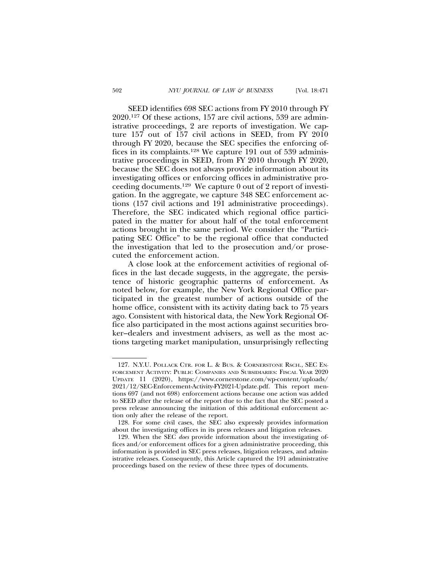SEED identifies 698 SEC actions from FY 2010 through FY 2020.127 Of these actions, 157 are civil actions, 539 are administrative proceedings, 2 are reports of investigation. We capture 157 out of 157 civil actions in SEED, from FY 2010 through FY 2020, because the SEC specifies the enforcing offices in its complaints.128 We capture 191 out of 539 administrative proceedings in SEED, from FY 2010 through FY 2020, because the SEC does not always provide information about its investigating offices or enforcing offices in administrative proceeding documents.129 We capture 0 out of 2 report of investigation. In the aggregate, we capture 348 SEC enforcement actions (157 civil actions and 191 administrative proceedings). Therefore, the SEC indicated which regional office participated in the matter for about half of the total enforcement actions brought in the same period. We consider the "Participating SEC Office" to be the regional office that conducted the investigation that led to the prosecution and/or prosecuted the enforcement action.

A close look at the enforcement activities of regional offices in the last decade suggests, in the aggregate, the persistence of historic geographic patterns of enforcement. As noted below, for example, the New York Regional Office participated in the greatest number of actions outside of the home office, consistent with its activity dating back to 75 years ago. Consistent with historical data, the New York Regional Office also participated in the most actions against securities broker–dealers and investment advisers, as well as the most actions targeting market manipulation, unsurprisingly reflecting

<sup>127.</sup> N.Y.U. POLLACK CTR. FOR L. & BUS. & CORNERSTONE RSCH., SEC EN-FORCEMENT ACTIVITY: PUBLIC COMPANIES AND SUBSIDIARIES: FISCAL YEAR 2020 UPDATE 11 (2020), https://www.cornerstone.com/wp-content/uploads/ 2021/12/SEC-Enforcement-Activity-FY2021-Update.pdf. This report mentions 697 (and not 698) enforcement actions because one action was added to SEED after the release of the report due to the fact that the SEC posted a press release announcing the initiation of this additional enforcement action only after the release of the report.

<sup>128.</sup> For some civil cases, the SEC also expressly provides information about the investigating offices in its press releases and litigation releases.

<sup>129.</sup> When the SEC *does* provide information about the investigating offices and/or enforcement offices for a given administrative proceeding, this information is provided in SEC press releases, litigation releases, and administrative releases. Consequently, this Article captured the 191 administrative proceedings based on the review of these three types of documents.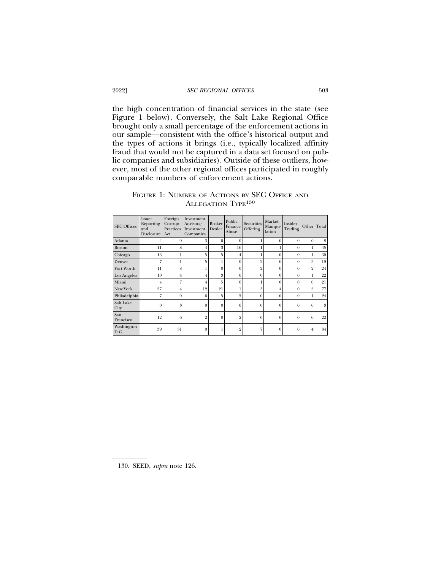## 2022] *SEC REGIONAL OFFICES* 503

the high concentration of financial services in the state (see Figure 1 below). Conversely, the Salt Lake Regional Office brought only a small percentage of the enforcement actions in our sample—consistent with the office's historical output and the types of actions it brings (i.e., typically localized affinity fraud that would not be captured in a data set focused on public companies and subsidiaries). Outside of these outliers, however, most of the other regional offices participated in roughly comparable numbers of enforcement actions.

| FIGURE 1: NUMBER OF ACTIONS BY SEC OFFICE AND |  |  |  |  |  |
|-----------------------------------------------|--|--|--|--|--|
| ALLEGATION TYPE <sup>130</sup>                |  |  |  |  |  |

| <b>SEC Offices</b> | Issuer<br>Reporting<br>and<br><b>Disclosure</b> | Foreign<br>Corrupt<br>Practices<br>Act | Investment<br>Advisors/<br>Investment<br>Companies | <b>Broker</b><br>Dealer | Public<br>Finance<br>Abuse | <b>Securities</b><br>Offering | Market<br>Manipu-<br>lation | Insider<br>Trading | Other Total    |    |
|--------------------|-------------------------------------------------|----------------------------------------|----------------------------------------------------|-------------------------|----------------------------|-------------------------------|-----------------------------|--------------------|----------------|----|
| Atlanta            | 4                                               | $\theta$                               | 3                                                  | $\mathbf{0}$            | $\mathbf{0}$               |                               | $\mathbf{0}$                | $\theta$           | $\theta$       | 8  |
| <b>Boston</b>      | 11                                              | 8                                      | $\overline{4}$                                     | 3                       | 16                         |                               | 1                           | $\overline{0}$     |                | 45 |
| Chicago            | 13                                              |                                        | 5                                                  | 5                       | $\overline{4}$             |                               | $\overline{0}$              | $\theta$           |                | 30 |
| Denver             | 7                                               |                                        | 5                                                  |                         | $\theta$                   | $\overline{2}$                | $\Omega$                    | $\theta$           | 3              | 19 |
| Fort Worth         | 11                                              | 8                                      | 1                                                  | $\theta$                | $\theta$                   | $\overline{2}$                | $\Omega$                    | $\theta$           | $\overline{2}$ | 24 |
| Los Angeles        | 10                                              | $\overline{4}$                         | $\overline{4}$                                     | 3                       | $\theta$                   | $\theta$                      | $\theta$                    | $\theta$           |                | 22 |
| Miami              | $\overline{4}$                                  | 7                                      | $\overline{4}$                                     | 5                       | $\overline{0}$             |                               | $\overline{0}$              | $\theta$           | $\theta$       | 21 |
| New York           | 27                                              | $\overline{4}$                         | 12                                                 | 21                      | 1                          | 3                             | $\overline{4}$              | $\theta$           | 5              | 77 |
| Philadelphia       | 7                                               | $\theta$                               | 6                                                  | 5                       | 5                          | $\Omega$                      | $\theta$                    | $\theta$           |                | 24 |
| Salt Lake<br>City  | $\theta$                                        | 3                                      | $\overline{0}$                                     | $\mathbf{0}$            | $\mathbf{0}$               | $\Omega$                      | $\overline{0}$              | $\theta$           | $\Omega$       | 3  |
| San<br>Francisco   | 12                                              | 6                                      | $\overline{2}$                                     | $\mathbf{0}$            | $\overline{2}$             | $\theta$                      | $\overline{0}$              | $\overline{0}$     | $\theta$       | 22 |
| Washington<br>D.C. | 39                                              | 31                                     | $\overline{0}$                                     |                         | $\overline{2}$             | 7                             | $\overline{0}$              | $\theta$           |                | 84 |

130. SEED, *supra* note 126.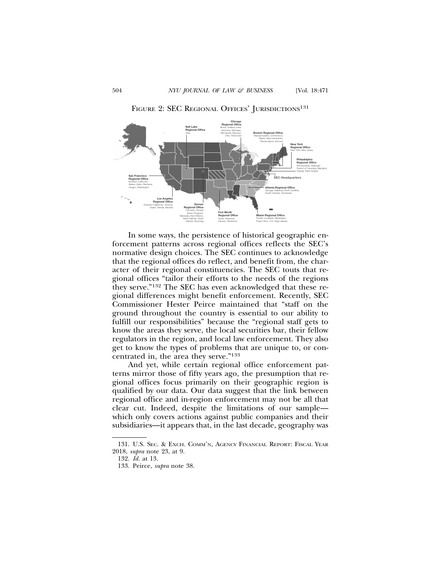

FIGURE 2: SEC REGIONAL OFFICES' JURISDICTIONS<sup>131</sup>

In some ways, the persistence of historical geographic enforcement patterns across regional offices reflects the SEC's normative design choices. The SEC continues to acknowledge that the regional offices do reflect, and benefit from, the character of their regional constituencies. The SEC touts that regional offices "tailor their efforts to the needs of the regions they serve."132 The SEC has even acknowledged that these regional differences might benefit enforcement. Recently, SEC Commissioner Hester Peirce maintained that "staff on the ground throughout the country is essential to our ability to fulfill our responsibilities" because the "regional staff gets to know the areas they serve, the local securities bar, their fellow regulators in the region, and local law enforcement. They also get to know the types of problems that are unique to, or concentrated in, the area they serve."133

And yet, while certain regional office enforcement patterns mirror those of fifty years ago, the presumption that regional offices focus primarily on their geographic region is qualified by our data. Our data suggest that the link between regional office and in-region enforcement may not be all that clear cut. Indeed, despite the limitations of our sample which only covers actions against public companies and their subsidiaries—it appears that, in the last decade, geography was

<sup>131.</sup> U.S. SEC. & EXCH. COMM'N, AGENCY FINANCIAL REPORT: FISCAL YEAR 2018, *supra* note 23, at 9.

<sup>132.</sup> *Id.* at 13.

<sup>133.</sup> Peirce, *supra* note 38.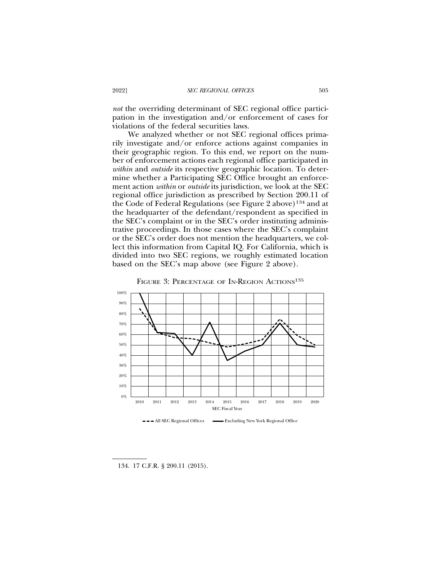*not* the overriding determinant of SEC regional office participation in the investigation and/or enforcement of cases for violations of the federal securities laws.

We analyzed whether or not SEC regional offices primarily investigate and/or enforce actions against companies in their geographic region. To this end, we report on the number of enforcement actions each regional office participated in *within* and *outside* its respective geographic location. To determine whether a Participating SEC Office brought an enforcement action *within* or *outside* its jurisdiction, we look at the SEC regional office jurisdiction as prescribed by Section 200.11 of the Code of Federal Regulations (see Figure 2 above)134 and at the headquarter of the defendant/respondent as specified in the SEC's complaint or in the SEC's order instituting administrative proceedings. In those cases where the SEC's complaint or the SEC's order does not mention the headquarters, we collect this information from Capital IQ. For California, which is divided into two SEC regions, we roughly estimated location based on the SEC's map above (see Figure 2 above).





134. 17 C.F.R. § 200.11 (2015).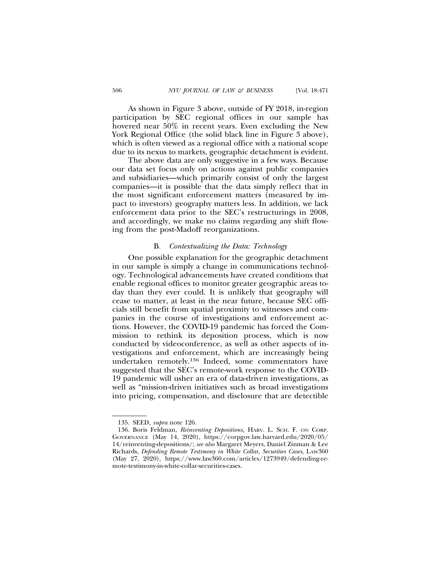As shown in Figure 3 above, outside of FY 2018, in-region participation by SEC regional offices in our sample has hovered near 50% in recent years. Even excluding the New York Regional Office (the solid black line in Figure 3 above), which is often viewed as a regional office with a national scope due to its nexus to markets, geographic detachment is evident.

The above data are only suggestive in a few ways. Because our data set focus only on actions against public companies and subsidiaries—which primarily consist of only the largest companies—it is possible that the data simply reflect that in the most significant enforcement matters (measured by impact to investors) geography matters less. In addition, we lack enforcement data prior to the SEC's restructurings in 2008, and accordingly, we make no claims regarding any shift flowing from the post-Madoff reorganizations.

## B. *Contextualizing the Data: Technology*

One possible explanation for the geographic detachment in our sample is simply a change in communications technology. Technological advancements have created conditions that enable regional offices to monitor greater geographic areas today than they ever could. It is unlikely that geography will cease to matter, at least in the near future, because SEC officials still benefit from spatial proximity to witnesses and companies in the course of investigations and enforcement actions. However, the COVID-19 pandemic has forced the Commission to rethink its deposition process, which is now conducted by videoconference, as well as other aspects of investigations and enforcement, which are increasingly being undertaken remotely.136 Indeed, some commentators have suggested that the SEC's remote-work response to the COVID-19 pandemic will usher an era of data-driven investigations, as well as "mission-driven initiatives such as broad investigations into pricing, compensation, and disclosure that are detectible

<sup>135.</sup> SEED, *supra* note 126.

<sup>136.</sup> Boris Feldman, *Reinventing Depositions,* HARV. L. SCH. F. ON CORP. GOVERNANCE (May 14, 2020), https://corpgov.law.harvard.edu/2020/05/ 14/reinventing-depositions/; *see also* Margaret Meyers, Daniel Zinman & Lee Richards, *Defending Remote Testimony in White Collar, Securities Cases*, LAW360 (May 27, 2020), https://www.law360.com/articles/1273949/defending-remote-testimony-in-white-collar-securities-cases.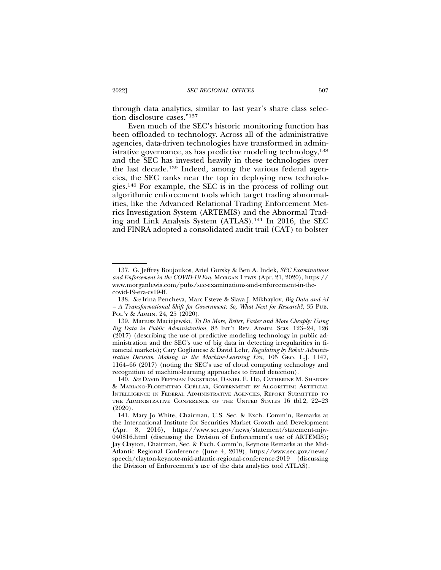through data analytics, similar to last year's share class selection disclosure cases."137

Even much of the SEC's historic monitoring function has been offloaded to technology. Across all of the administrative agencies, data-driven technologies have transformed in administrative governance, as has predictive modeling technology,<sup>138</sup> and the SEC has invested heavily in these technologies over the last decade.139 Indeed, among the various federal agencies, the SEC ranks near the top in deploying new technologies.140 For example, the SEC is in the process of rolling out algorithmic enforcement tools which target trading abnormalities, like the Advanced Relational Trading Enforcement Metrics Investigation System (ARTEMIS) and the Abnormal Trading and Link Analysis System (ATLAS).141 In 2016, the SEC and FINRA adopted a consolidated audit trail (CAT) to bolster

<sup>137.</sup> G. Jeffrey Boujoukos, Ariel Gursky & Ben A. Indek, *SEC Examinations and Enforcement in the COVID-19 Era*, MORGAN LEWIS (Apr. 21, 2020), https:// www.morganlewis.com/pubs/sec-examinations-and-enforcement-in-thecovid-19-era-cv19-lf.

<sup>138.</sup> *See* Irina Pencheva, Marc Esteve & Slava J. Mikhaylov, *Big Data and AI – A Transformational Shift for Government: So, What Next for Research?*, 35 PUB. POL'Y & ADMIN. 24, 25 (2020).

<sup>139.</sup> Mariusz Maciejewski, *To Do More, Better, Faster and More Cheaply: Using Big Data in Public Administration,* 83 INT'L REV. ADMIN. SCIS. 123–24, 126 (2017) (describing the use of predictive modeling technology in public administration and the SEC's use of big data in detecting irregularities in financial markets); Cary Coglianese & David Lehr, *Regulating by Robot: Administrative Decision Making in the Machine-Learning Era*, 105 GEO. L.J. 1147, 1164–66 (2017) (noting the SEC's use of cloud computing technology and recognition of machine-learning approaches to fraud detection).

<sup>140.</sup> *See* DAVID FREEMAN ENGSTROM, DANIEL E. HO, CATHERINE M. SHARKEY & MARIANO-FLORENTINO CUÉLLAR, GOVERNMENT BY ALGORITHM: ARTIFICIAL INTELLIGENCE IN FEDERAL ADMINISTRATIVE AGENCIES, REPORT SUBMITTED TO THE ADMINISTRATIVE CONFERENCE OF THE UNITED STATES 16 tbl.2, 22–23 (2020).

<sup>141.</sup> Mary Jo White, Chairman, U.S. Sec. & Exch. Comm'n, Remarks at the International Institute for Securities Market Growth and Development (Apr. 8, 2016), https://www.sec.gov/news/statement/statement-mjw-040816.html (discussing the Division of Enforcement's use of ARTEMIS); Jay Clayton, Chairman, Sec. & Exch. Comm'n, Keynote Remarks at the Mid-Atlantic Regional Conference (June 4, 2019), https://www.sec.gov/news/ speech/clayton-keynote-mid-atlantic-regional-conference-2019 (discussing the Division of Enforcement's use of the data analytics tool ATLAS).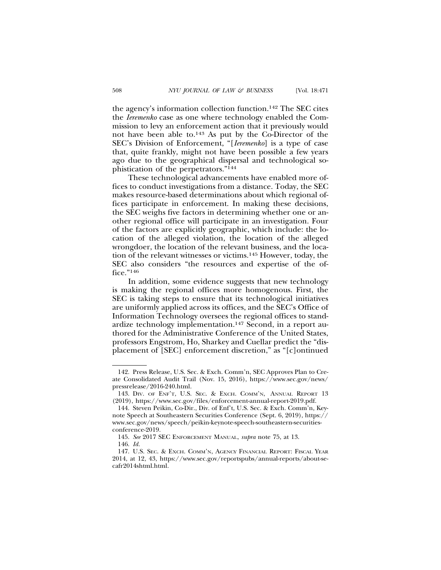the agency's information collection function.142 The SEC cites the *Ieremenko* case as one where technology enabled the Commission to levy an enforcement action that it previously would not have been able to.143 As put by the Co-Director of the SEC's Division of Enforcement, "[*Ieremenko*] is a type of case that, quite frankly, might not have been possible a few years ago due to the geographical dispersal and technological sophistication of the perpetrators."144

These technological advancements have enabled more offices to conduct investigations from a distance. Today, the SEC makes resource-based determinations about which regional offices participate in enforcement. In making these decisions, the SEC weighs five factors in determining whether one or another regional office will participate in an investigation. Four of the factors are explicitly geographic, which include: the location of the alleged violation, the location of the alleged wrongdoer, the location of the relevant business, and the location of the relevant witnesses or victims.145 However, today, the SEC also considers "the resources and expertise of the office."146

In addition, some evidence suggests that new technology is making the regional offices more homogenous. First, the SEC is taking steps to ensure that its technological initiatives are uniformly applied across its offices, and the SEC's Office of Information Technology oversees the regional offices to standardize technology implementation.147 Second, in a report authored for the Administrative Conference of the United States, professors Engstrom, Ho, Sharkey and Cuellar predict the "displacement of [SEC] enforcement discretion," as "[c]ontinued

<sup>142.</sup> Press Release, U.S. Sec. & Exch. Comm'n, SEC Approves Plan to Create Consolidated Audit Trail (Nov. 15, 2016), https://www.sec.gov/news/ pressrelease/2016-240.html.

<sup>143.</sup> DIV. OF ENF'T, U.S. SEC. & EXCH. COMM'N, ANNUAL REPORT 13 (2019), https://www.sec.gov/files/enforcement-annual-report-2019.pdf.

<sup>144.</sup> Steven Peikin, Co-Dir., Div. of Enf't, U.S. Sec. & Exch. Comm'n, Keynote Speech at Southeastern Securities Conference (Sept. 6, 2019), https:// www.sec.gov/news/speech/peikin-keynote-speech-southeastern-securitiesconference-2019.

<sup>145.</sup> *See* 2017 SEC ENFORCEMENT MANUAL, *supra* note 75, at 13. 146. *Id.*

<sup>147.</sup> U.S. SEC. & EXCH. COMM'N, AGENCY FINANCIAL REPORT: FISCAL YEAR 2014, at 12, 43, https://www.sec.gov/reportspubs/annual-reports/about-secafr2014shtml.html.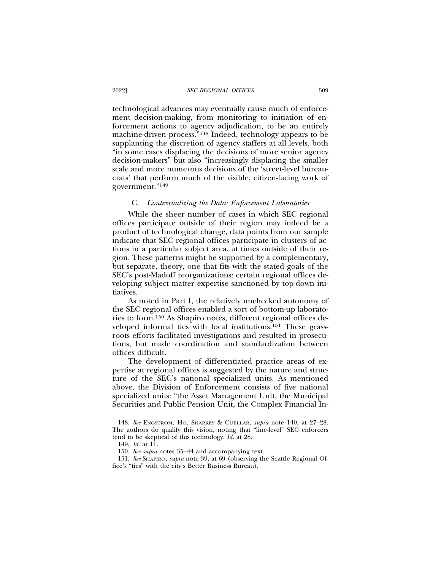technological advances may eventually cause much of enforcement decision-making, from monitoring to initiation of enforcement actions to agency adjudication, to be an entirely machine-driven process*.*"148 Indeed, technology appears to be supplanting the discretion of agency staffers at all levels, both "in some cases displacing the decisions of more senior agency decision-makers" but also "increasingly displacing the smaller scale and more numerous decisions of the 'street-level bureaucrats' that perform much of the visible, citizen-facing work of government."149

#### C. *Contextualizing the Data: Enforcement Laboratories*

While the sheer number of cases in which SEC regional offices participate outside of their region may indeed be a product of technological change, data points from our sample indicate that SEC regional offices participate in clusters of actions in a particular subject area, at times outside of their region. These patterns might be supported by a complementary, but separate, theory, one that fits with the stated goals of the SEC's post-Madoff reorganizations: certain regional offices developing subject matter expertise sanctioned by top-down initiatives.

As noted in Part I, the relatively unchecked autonomy of the SEC regional offices enabled a sort of bottom-up laboratories to form.150 As Shapiro notes, different regional offices developed informal ties with local institutions.151 These grassroots efforts facilitated investigations and resulted in prosecutions, but made coordination and standardization between offices difficult.

The development of differentiated practice areas of expertise at regional offices is suggested by the nature and structure of the SEC's national specialized units. As mentioned above, the Division of Enforcement consists of five national specialized units: "the Asset Management Unit, the Municipal Securities and Public Pension Unit, the Complex Financial In-

<sup>148.</sup> See ENGSTROM, HO, SHARKEY & CUÉLLAR, *supra* note 140, at 27-28. The authors do qualify this vision, noting that "line-level" SEC enforcers tend to be skeptical of this technology. *Id.* at 28.

<sup>149.</sup> *Id.* at 11.

<sup>150.</sup> *See supra* notes 35–44 and accompanying text.

<sup>151.</sup> *See* SHAPIRO, *supra* note 39, at 69 (observing the Seattle Regional Office's "ties" with the city's Better Business Bureau).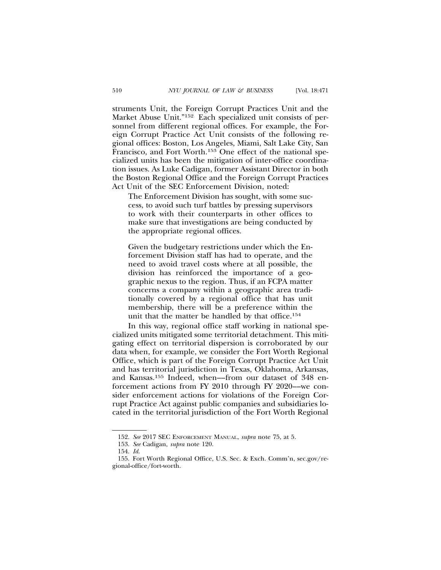struments Unit, the Foreign Corrupt Practices Unit and the Market Abuse Unit."152 Each specialized unit consists of personnel from different regional offices. For example, the Foreign Corrupt Practice Act Unit consists of the following regional offices: Boston, Los Angeles, Miami, Salt Lake City, San Francisco, and Fort Worth.153 One effect of the national specialized units has been the mitigation of inter-office coordination issues. As Luke Cadigan, former Assistant Director in both the Boston Regional Office and the Foreign Corrupt Practices Act Unit of the SEC Enforcement Division, noted:

The Enforcement Division has sought, with some success, to avoid such turf battles by pressing supervisors to work with their counterparts in other offices to make sure that investigations are being conducted by the appropriate regional offices.

Given the budgetary restrictions under which the Enforcement Division staff has had to operate, and the need to avoid travel costs where at all possible, the division has reinforced the importance of a geographic nexus to the region. Thus, if an FCPA matter concerns a company within a geographic area traditionally covered by a regional office that has unit membership, there will be a preference within the unit that the matter be handled by that office.154

In this way, regional office staff working in national specialized units mitigated some territorial detachment. This mitigating effect on territorial dispersion is corroborated by our data when, for example, we consider the Fort Worth Regional Office, which is part of the Foreign Corrupt Practice Act Unit and has territorial jurisdiction in Texas, Oklahoma, Arkansas, and Kansas.155 Indeed, when––from our dataset of 348 enforcement actions from FY 2010 through FY 2020––we consider enforcement actions for violations of the Foreign Corrupt Practice Act against public companies and subsidiaries located in the territorial jurisdiction of the Fort Worth Regional

<sup>152.</sup> *See* 2017 SEC ENFORCEMENT MANUAL, *supra* note 75, at 5.

<sup>153.</sup> *See* Cadigan, *supra* note 120.

<sup>154.</sup> *Id*.

<sup>155.</sup> Fort Worth Regional Office, U.S. Sec. & Exch. Comm'n, sec.gov/regional-office/fort-worth.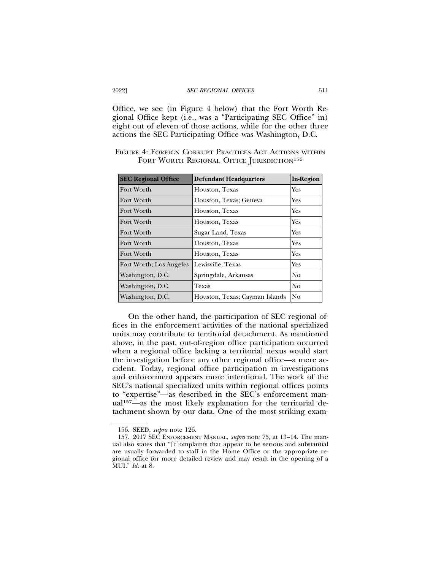Office, we see (in Figure 4 below) that the Fort Worth Regional Office kept (i.e., was a "Participating SEC Office" in) eight out of eleven of those actions, while for the other three actions the SEC Participating Office was Washington, D.C.

| <b>SEC Regional Office</b> | <b>Defendant Headquarters</b>  | <b>In-Region</b> |
|----------------------------|--------------------------------|------------------|
| Fort Worth                 | Houston, Texas                 | Yes              |
| Fort Worth                 | Houston, Texas; Geneva         | Yes              |
| Fort Worth                 | Houston, Texas                 | Yes              |
| Fort Worth                 | Houston, Texas                 | Yes              |
| Fort Worth                 | Sugar Land, Texas              | Yes              |
| Fort Worth                 | Houston, Texas                 | Yes              |
| Fort Worth                 | Houston, Texas                 | Yes              |
| Fort Worth; Los Angeles    | Lewisville, Texas              | Yes              |
| Washington, D.C.           | Springdale, Arkansas           | N <sub>o</sub>   |
| Washington, D.C.           | Texas                          | No               |
| Washington, D.C.           | Houston, Texas; Cayman Islands | No               |

FIGURE 4: FOREIGN CORRUPT PRACTICES ACT ACTIONS WITHIN FORT WORTH REGIONAL OFFICE JURISDICTION<sup>156</sup>

On the other hand, the participation of SEC regional offices in the enforcement activities of the national specialized units may contribute to territorial detachment. As mentioned above, in the past, out-of-region office participation occurred when a regional office lacking a territorial nexus would start the investigation before any other regional office—a mere accident. Today, regional office participation in investigations and enforcement appears more intentional. The work of the SEC's national specialized units within regional offices points to "expertise"—as described in the SEC's enforcement manual157—as the most likely explanation for the territorial detachment shown by our data. One of the most striking exam-

<sup>156.</sup> SEED, *supra* note 126.

<sup>157. 2017</sup> SEC ENFORCEMENT MANUAL, *supra* note 75, at 13–14. The manual also states that "[c]omplaints that appear to be serious and substantial are usually forwarded to staff in the Home Office or the appropriate regional office for more detailed review and may result in the opening of a MUI." *Id.* at 8.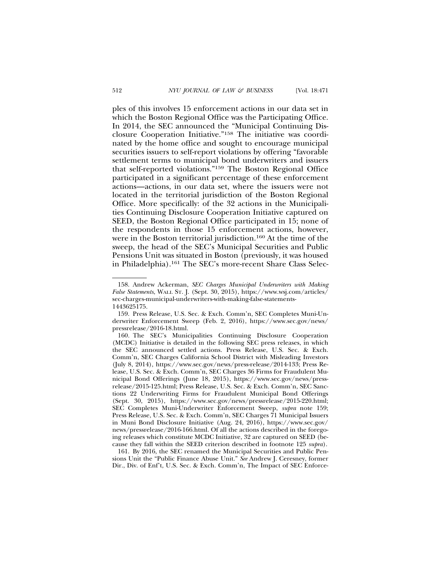ples of this involves 15 enforcement actions in our data set in which the Boston Regional Office was the Participating Office. In 2014, the SEC announced the "Municipal Continuing Disclosure Cooperation Initiative."158 The initiative was coordinated by the home office and sought to encourage municipal securities issuers to self-report violations by offering "favorable settlement terms to municipal bond underwriters and issuers that self-reported violations."159 The Boston Regional Office participated in a significant percentage of these enforcement actions—actions, in our data set, where the issuers were not located in the territorial jurisdiction of the Boston Regional Office. More specifically: of the 32 actions in the Municipalities Continuing Disclosure Cooperation Initiative captured on SEED, the Boston Regional Office participated in 15; none of the respondents in those 15 enforcement actions, however, were in the Boston territorial jurisdiction.<sup>160</sup> At the time of the sweep, the head of the SEC's Municipal Securities and Public Pensions Unit was situated in Boston (previously, it was housed in Philadelphia).161 The SEC's more-recent Share Class Selec-

161. By 2016, the SEC renamed the Municipal Securities and Public Pensions Unit the "Public Finance Abuse Unit." *See* Andrew J. Ceresney, former Dir., Div. of Enf't, U.S. Sec. & Exch. Comm'n, The Impact of SEC Enforce-

<sup>158.</sup> Andrew Ackerman, *SEC Charges Municipal Underwriters with Making False Statements*, WALL ST. J. (Sept. 30, 2015), https://www.wsj.com/articles/ sec-charges-municipal-underwriters-with-making-false-statements-1443625175.

<sup>159.</sup> Press Release, U.S. Sec. & Exch. Comm'n, SEC Completes Muni-Underwriter Enforcement Sweep (Feb. 2, 2016), https://www.sec.gov/news/ pressrelease/2016-18.html.

<sup>160.</sup> The SEC's Municipalities Continuing Disclosure Cooperation (MCDC) Initiative is detailed in the following SEC press releases, in which the SEC announced settled actions. Press Release, U.S. Sec. & Exch. Comm'n, SEC Charges California School District with Misleading Investors (July 8, 2014), https://www.sec.gov/news/press-release/2014-133; Press Release, U.S. Sec. & Exch. Comm'n, SEC Charges 36 Firms for Fraudulent Municipal Bond Offerings (June 18, 2015), https://www.sec.gov/news/pressrelease/2015-125.html; Press Release, U.S. Sec. & Exch. Comm'n, SEC Sanctions 22 Underwriting Firms for Fraudulent Municipal Bond Offerings (Sept. 30, 2015), https://www.sec.gov/news/pressrelease/2015-220.html; SEC Completes Muni-Underwriter Enforcement Sweep, *supra* note 159; Press Release, U.S. Sec. & Exch. Comm'n, SEC Charges 71 Municipal Issuers in Muni Bond Disclosure Initiative (Aug. 24, 2016), https://www.sec.gov/ news/pressrelease/2016-166.html. Of all the actions described in the foregoing releases which constitute MCDC Initiative, 32 are captured on SEED (because they fall within the SEED criterion described in footnote 125 *supra*).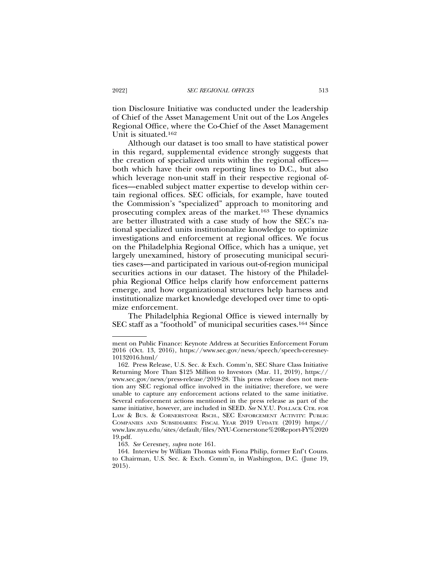tion Disclosure Initiative was conducted under the leadership of Chief of the Asset Management Unit out of the Los Angeles Regional Office, where the Co-Chief of the Asset Management Unit is situated.162

Although our dataset is too small to have statistical power in this regard, supplemental evidence strongly suggests that the creation of specialized units within the regional offices both which have their own reporting lines to D.C., but also which leverage non-unit staff in their respective regional offices—enabled subject matter expertise to develop within certain regional offices. SEC officials, for example, have touted the Commission's "specialized" approach to monitoring and prosecuting complex areas of the market.163 These dynamics are better illustrated with a case study of how the SEC's national specialized units institutionalize knowledge to optimize investigations and enforcement at regional offices. We focus on the Philadelphia Regional Office, which has a unique, yet largely unexamined, history of prosecuting municipal securities cases—and participated in various out-of-region municipal securities actions in our dataset. The history of the Philadelphia Regional Office helps clarify how enforcement patterns emerge, and how organizational structures help harness and institutionalize market knowledge developed over time to optimize enforcement*.*

The Philadelphia Regional Office is viewed internally by SEC staff as a "foothold" of municipal securities cases.164 Since

ment on Public Finance: Keynote Address at Securities Enforcement Forum 2016 (Oct. 13, 2016), https://www.sec.gov/news/speech/speech-ceresney-10132016.html/

<sup>162.</sup> Press Release, U.S. Sec. & Exch. Comm'n, SEC Share Class Initiative Returning More Than \$125 Million to Investors (Mar. 11, 2019), https:// www.sec.gov/news/press-release/2019-28. This press release does not mention any SEC regional office involved in the initiative; therefore, we were unable to capture any enforcement actions related to the same initiative. Several enforcement actions mentioned in the press release as part of the same initiative, however, are included in SEED. *See* N.Y.U. POLLACK CTR. FOR LAW & BUS. & CORNERSTONE RSCH., SEC ENFORCEMENT ACTIVITY: PUBLIC COMPANIES AND SUBSIDIARIES: FISCAL YEAR 2019 UPDATE (2019) https:// www.law.nyu.edu/sites/default/files/NYU-Cornerstone%20Report-FY%2020 19.pdf.

<sup>163.</sup> *See* Ceresney, *supra* note 161.

<sup>164.</sup> Interview by William Thomas with Fiona Philip, former Enf't Couns. to Chairman, U.S. Sec. & Exch. Comm'n, in Washington, D.C. (June 19, 2015).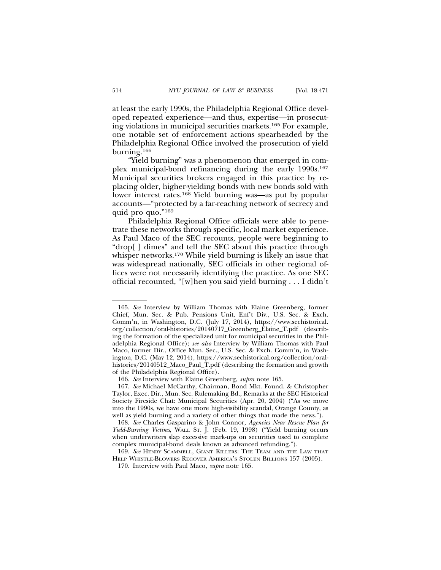at least the early 1990s, the Philadelphia Regional Office developed repeated experience—and thus, expertise—in prosecuting violations in municipal securities markets.165 For example, one notable set of enforcement actions spearheaded by the Philadelphia Regional Office involved the prosecution of yield burning.166

"Yield burning" was a phenomenon that emerged in complex municipal-bond refinancing during the early 1990s.167 Municipal securities brokers engaged in this practice by replacing older, higher-yielding bonds with new bonds sold with lower interest rates.<sup>168</sup> Yield burning was—as put by popular accounts—"protected by a far-reaching network of secrecy and quid pro quo."169

Philadelphia Regional Office officials were able to penetrate these networks through specific, local market experience. As Paul Maco of the SEC recounts, people were beginning to "drop[ ] dimes" and tell the SEC about this practice through whisper networks.<sup>170</sup> While yield burning is likely an issue that was widespread nationally, SEC officials in other regional offices were not necessarily identifying the practice. As one SEC official recounted, "[w]hen you said yield burning . . . I didn't

<sup>165.</sup> *See* Interview by William Thomas with Elaine Greenberg, former Chief, Mun. Sec. & Pub. Pensions Unit, Enf't Div., U.S. Sec. & Exch. Comm'n, in Washington, D.C. (July 17, 2014), https://www.sechistorical. org/collection/oral-histories/20140717\_Greenberg\_Elaine\_T.pdf (describing the formation of the specialized unit for municipal securities in the Philadelphia Regional Office); *see also* Interview by William Thomas with Paul Maco, former Dir., Office Mun. Sec., U.S. Sec. & Exch. Comm'n, in Washington, D.C. (May 12, 2014), https://www.sechistorical.org/collection/oralhistories/20140512\_Maco\_Paul\_T.pdf (describing the formation and growth of the Philadelphia Regional Office).

<sup>166.</sup> *See* Interview with Elaine Greenberg, *supra* note 165.

<sup>167.</sup> *See* Michael McCarthy, Chairman, Bond Mkt. Found. & Christopher Taylor, Exec. Dir., Mun. Sec. Rulemaking Bd., Remarks at the SEC Historical Society Fireside Chat: Municipal Securities (Apr. 20, 2004) ("As we move into the 1990s, we have one more high-visibility scandal, Orange County, as well as yield burning and a variety of other things that made the news.").

<sup>168.</sup> *See* Charles Gasparino & John Connor, *Agencies Near Rescue Plan for Yield-Burning Victims*, WALL ST. J. (Feb. 19, 1998) ("Yield burning occurs when underwriters slap excessive mark-ups on securities used to complete complex municipal-bond deals known as advanced refunding.").

<sup>169.</sup> *See* HENRY SCAMMELL, GIANT KILLERS: THE TEAM AND THE LAW THAT HELP WHISTLE-BLOWERS RECOVER AMERICA'S STOLEN BILLIONS 157 (2005).

<sup>170.</sup> Interview with Paul Maco, *supra* note 165.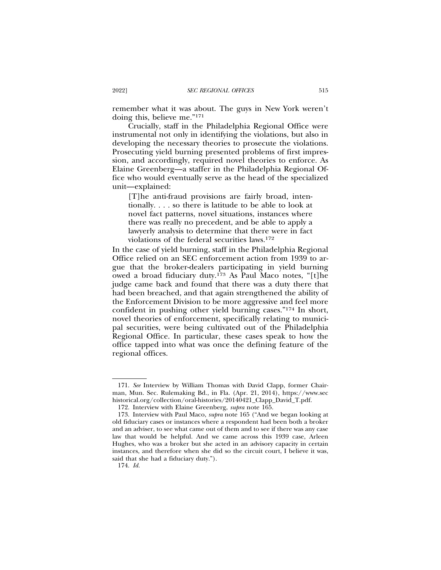remember what it was about. The guys in New York weren't doing this, believe me."171

Crucially, staff in the Philadelphia Regional Office were instrumental not only in identifying the violations, but also in developing the necessary theories to prosecute the violations. Prosecuting yield burning presented problems of first impression, and accordingly, required novel theories to enforce. As Elaine Greenberg—a staffer in the Philadelphia Regional Office who would eventually serve as the head of the specialized unit—explained:

[T]he anti-fraud provisions are fairly broad, intentionally. . . . so there is latitude to be able to look at novel fact patterns, novel situations, instances where there was really no precedent, and be able to apply a lawyerly analysis to determine that there were in fact violations of the federal securities laws.172

In the case of yield burning, staff in the Philadelphia Regional Office relied on an SEC enforcement action from 1939 to argue that the broker-dealers participating in yield burning owed a broad fiduciary duty.173 As Paul Maco notes, "[t]he judge came back and found that there was a duty there that had been breached, and that again strengthened the ability of the Enforcement Division to be more aggressive and feel more confident in pushing other yield burning cases."174 In short, novel theories of enforcement, specifically relating to municipal securities, were being cultivated out of the Philadelphia Regional Office. In particular, these cases speak to how the office tapped into what was once the defining feature of the regional offices.

<sup>171.</sup> *See* Interview by William Thomas with David Clapp, former Chairman, Mun. Sec. Rulemaking Bd., in Fla. (Apr. 21, 2014), https://www.sec historical.org/collection/oral-histories/20140421\_Clapp\_David\_T.pdf.

<sup>172.</sup> Interview with Elaine Greenberg, *supra* note 165.

<sup>173.</sup> Interview with Paul Maco, *supra* note 165 ("And we began looking at old fiduciary cases or instances where a respondent had been both a broker and an adviser, to see what came out of them and to see if there was any case law that would be helpful. And we came across this 1939 case, Arleen Hughes, who was a broker but she acted in an advisory capacity in certain instances, and therefore when she did so the circuit court, I believe it was, said that she had a fiduciary duty.").

<sup>174.</sup> *Id.*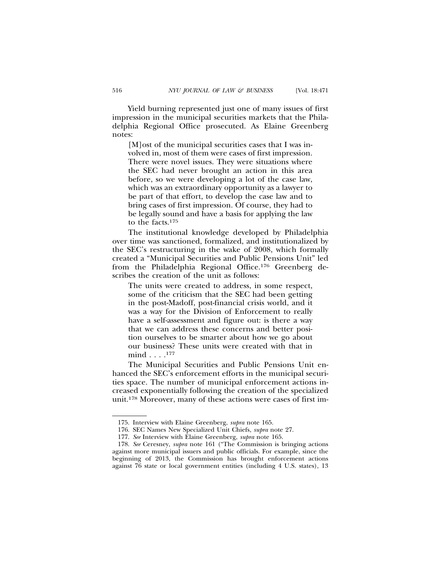Yield burning represented just one of many issues of first impression in the municipal securities markets that the Philadelphia Regional Office prosecuted. As Elaine Greenberg notes:

[M]ost of the municipal securities cases that I was involved in, most of them were cases of first impression. There were novel issues. They were situations where the SEC had never brought an action in this area before, so we were developing a lot of the case law, which was an extraordinary opportunity as a lawyer to be part of that effort, to develop the case law and to bring cases of first impression. Of course, they had to be legally sound and have a basis for applying the law to the facts.175

The institutional knowledge developed by Philadelphia over time was sanctioned, formalized, and institutionalized by the SEC's restructuring in the wake of 2008, which formally created a "Municipal Securities and Public Pensions Unit" led from the Philadelphia Regional Office.176 Greenberg describes the creation of the unit as follows:

The units were created to address, in some respect, some of the criticism that the SEC had been getting in the post-Madoff, post-financial crisis world, and it was a way for the Division of Enforcement to really have a self-assessment and figure out: is there a way that we can address these concerns and better position ourselves to be smarter about how we go about our business? These units were created with that in mind . . . .177

The Municipal Securities and Public Pensions Unit enhanced the SEC's enforcement efforts in the municipal securities space. The number of municipal enforcement actions increased exponentially following the creation of the specialized unit.178 Moreover, many of these actions were cases of first im-

<sup>175.</sup> Interview with Elaine Greenberg, *supra* note 165.

<sup>176.</sup> SEC Names New Specialized Unit Chiefs, *supra* note 27.

<sup>177.</sup> *See* Interview with Elaine Greenberg, *supra* note 165.

<sup>178.</sup> *See* Ceresney, *supra* note 161 ("The Commission is bringing actions against more municipal issuers and public officials. For example, since the beginning of 2013, the Commission has brought enforcement actions against 76 state or local government entities (including 4 U.S. states), 13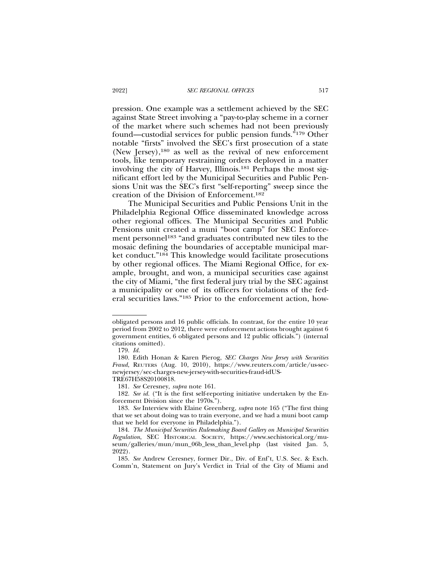pression. One example was a settlement achieved by the SEC against State Street involving a "pay-to-play scheme in a corner of the market where such schemes had not been previously found—custodial services for public pension funds."179 Other notable "firsts" involved the SEC's first prosecution of a state (New Jersey),180 as well as the revival of new enforcement tools, like temporary restraining orders deployed in a matter involving the city of Harvey, Illinois.181 Perhaps the most significant effort led by the Municipal Securities and Public Pensions Unit was the SEC's first "self-reporting" sweep since the creation of the Division of Enforcement.182

The Municipal Securities and Public Pensions Unit in the Philadelphia Regional Office disseminated knowledge across other regional offices. The Municipal Securities and Public Pensions unit created a muni "boot camp" for SEC Enforcement personnel<sup>183</sup> "and graduates contributed new tiles to the mosaic defining the boundaries of acceptable municipal market conduct."184 This knowledge would facilitate prosecutions by other regional offices. The Miami Regional Office, for example, brought, and won, a municipal securities case against the city of Miami, "the first federal jury trial by the SEC against a municipality or one of its officers for violations of the federal securities laws."185 Prior to the enforcement action, how-

obligated persons and 16 public officials. In contrast, for the entire 10 year period from 2002 to 2012, there were enforcement actions brought against 6 government entities, 6 obligated persons and 12 public officials.") (internal citations omitted).

<sup>179.</sup> *Id.*

<sup>180.</sup> Edith Honan & Karen Pierog, *SEC Charges New Jersey with Securities Fraud*, REUTERS (Aug. 10, 2010), https://www.reuters.com/article/us-secnewjersey/sec-charges-new-jersey-with-securities-fraud-idUS-

TRE67H58S20100818.

<sup>181.</sup> *See* Ceresney, *supra* note 161.

<sup>182.</sup> *See id.* ("It is the first self-reporting initiative undertaken by the Enforcement Division since the 1970s.").

<sup>183.</sup> *See* Interview with Elaine Greenberg, *supra* note 165 ("The first thing that we set about doing was to train everyone, and we had a muni boot camp that we held for everyone in Philadelphia.").

<sup>184.</sup> *The Municipal Securities Rulemaking Board Gallery on Municipal Securities Regulation*, SEC HISTORICAL SOCIETY, https://www.sechistorical.org/museum/galleries/mun/mun\_06b\_less\_than\_level.php (last visited Jan. 5, 2022).

<sup>185.</sup> *See* Andrew Ceresney, former Dir., Div. of Enf't, U.S. Sec. & Exch. Comm'n, Statement on Jury's Verdict in Trial of the City of Miami and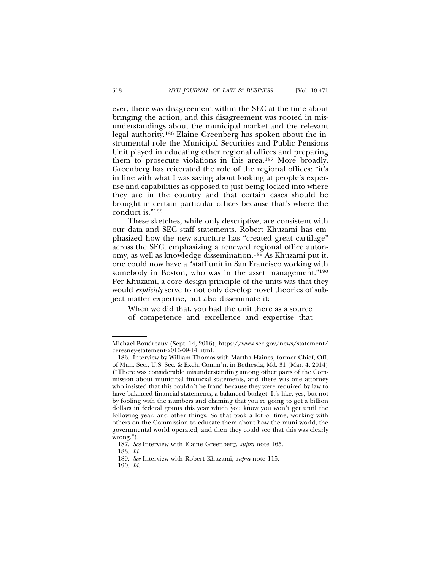ever, there was disagreement within the SEC at the time about bringing the action, and this disagreement was rooted in misunderstandings about the municipal market and the relevant legal authority.186 Elaine Greenberg has spoken about the instrumental role the Municipal Securities and Public Pensions Unit played in educating other regional offices and preparing them to prosecute violations in this area.187 More broadly, Greenberg has reiterated the role of the regional offices: "it's in line with what I was saying about looking at people's expertise and capabilities as opposed to just being locked into where they are in the country and that certain cases should be brought in certain particular offices because that's where the conduct is."188

These sketches, while only descriptive, are consistent with our data and SEC staff statements. Robert Khuzami has emphasized how the new structure has "created great cartilage" across the SEC, emphasizing a renewed regional office autonomy, as well as knowledge dissemination.189 As Khuzami put it, one could now have a "staff unit in San Francisco working with somebody in Boston, who was in the asset management."<sup>190</sup> Per Khuzami, a core design principle of the units was that they would *explicitly* serve to not only develop novel theories of subject matter expertise, but also disseminate it:

When we did that, you had the unit there as a source of competence and excellence and expertise that

Michael Boudreaux (Sept. 14, 2016), https://www.sec.gov/news/statement/ ceresney-statement-2016-09-14.html.

<sup>186.</sup> Interview by William Thomas with Martha Haines, former Chief, Off. of Mun. Sec., U.S. Sec. & Exch. Comm'n, in Bethesda, Md. 31 (Mar. 4, 2014) ("There was considerable misunderstanding among other parts of the Commission about municipal financial statements, and there was one attorney who insisted that this couldn't be fraud because they were required by law to have balanced financial statements, a balanced budget. It's like, yes, but not by fooling with the numbers and claiming that you're going to get a billion dollars in federal grants this year which you know you won't get until the following year, and other things. So that took a lot of time, working with others on the Commission to educate them about how the muni world, the governmental world operated, and then they could see that this was clearly wrong.").

<sup>187.</sup> *See* Interview with Elaine Greenberg, *supra* note 165.

<sup>188.</sup> *Id*.

<sup>189.</sup> *See* Interview with Robert Khuzami, *supra* note 115.

<sup>190.</sup> *Id.*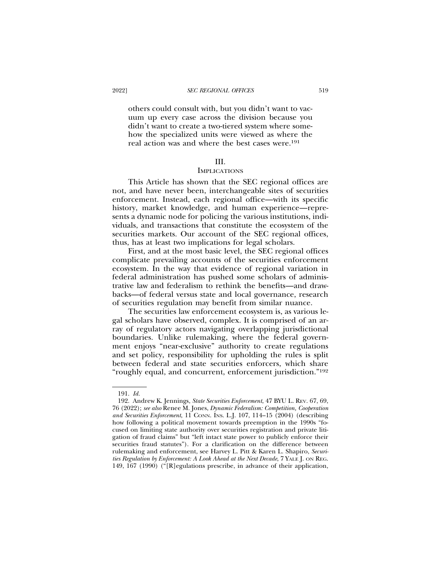others could consult with, but you didn't want to vacuum up every case across the division because you didn't want to create a two-tiered system where somehow the specialized units were viewed as where the real action was and where the best cases were.191

## III.

#### **IMPLICATIONS**

This Article has shown that the SEC regional offices are not, and have never been, interchangeable sites of securities enforcement. Instead, each regional office—with its specific history, market knowledge, and human experience—represents a dynamic node for policing the various institutions, individuals, and transactions that constitute the ecosystem of the securities markets. Our account of the SEC regional offices, thus, has at least two implications for legal scholars.

First, and at the most basic level, the SEC regional offices complicate prevailing accounts of the securities enforcement ecosystem. In the way that evidence of regional variation in federal administration has pushed some scholars of administrative law and federalism to rethink the benefits—and drawbacks—of federal versus state and local governance, research of securities regulation may benefit from similar nuance.

The securities law enforcement ecosystem is, as various legal scholars have observed, complex. It is comprised of an array of regulatory actors navigating overlapping jurisdictional boundaries. Unlike rulemaking, where the federal government enjoys "near-exclusive" authority to create regulations and set policy, responsibility for upholding the rules is split between federal and state securities enforcers, which share "roughly equal, and concurrent, enforcement jurisdiction."192

<sup>191.</sup> *Id.*

<sup>192.</sup> Andrew K. Jennings, *State Securities Enforcement*, 47 BYU L. REV. 67, 69, 76 (2022); *see also* Renee M. Jones, *Dynamic Federalism: Competition, Cooperation* and Securities Enforcement, 11 CONN. INS. L.J. 107, 114-15 (2004) (describing how following a political movement towards preemption in the 1990s "focused on limiting state authority over securities registration and private litigation of fraud claims" but "left intact state power to publicly enforce their securities fraud statutes"). For a clarification on the difference between rulemaking and enforcement, see Harvey L. Pitt & Karen L. Shapiro, *Securities Regulation by Enforcement: A Look Ahead at the Next Decade*, 7 YALE J. ON REG. 149, 167 (1990) ("[R]egulations prescribe, in advance of their application,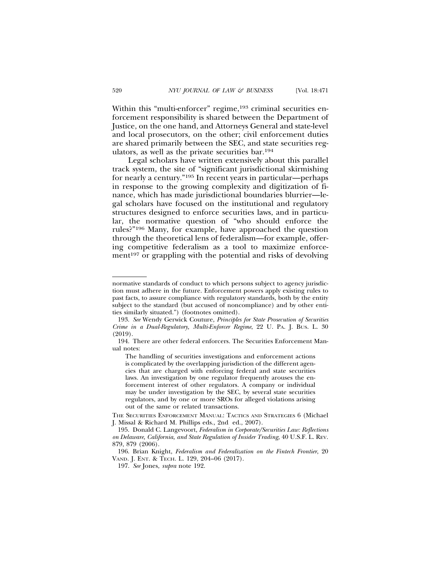Within this "multi-enforcer" regime,<sup>193</sup> criminal securities enforcement responsibility is shared between the Department of Justice, on the one hand, and Attorneys General and state-level and local prosecutors, on the other; civil enforcement duties are shared primarily between the SEC, and state securities regulators, as well as the private securities bar.194

Legal scholars have written extensively about this parallel track system, the site of "significant jurisdictional skirmishing for nearly a century."195 In recent years in particular—perhaps in response to the growing complexity and digitization of finance, which has made jurisdictional boundaries blurrier—legal scholars have focused on the institutional and regulatory structures designed to enforce securities laws, and in particular, the normative question of "who should enforce the rules?"196 Many, for example, have approached the question through the theoretical lens of federalism—for example, offering competitive federalism as a tool to maximize enforcement<sup>197</sup> or grappling with the potential and risks of devolving

normative standards of conduct to which persons subject to agency jurisdiction must adhere in the future. Enforcement powers apply existing rules to past facts, to assure compliance with regulatory standards, both by the entity subject to the standard (but accused of noncompliance) and by other entities similarly situated.") (footnotes omitted).

<sup>193.</sup> *See* Wendy Gerwick Couture, *Principles for State Prosecution of Securities Crime in a Dual-Regulatory, Multi-Enforcer Regime*, 22 U. PA. J. BUS. L. 30 (2019).

<sup>194.</sup> There are other federal enforcers. The Securities Enforcement Manual notes:

The handling of securities investigations and enforcement actions is complicated by the overlapping jurisdiction of the different agencies that are charged with enforcing federal and state securities laws. An investigation by one regulator frequently arouses the enforcement interest of other regulators. A company or individual may be under investigation by the SEC, by several state securities regulators, and by one or more SROs for alleged violations arising out of the same or related transactions.

THE SECURITIES ENFORCEMENT MANUAL: TACTICS AND STRATEGIES 6 (Michael J. Missal & Richard M. Phillips eds., 2nd ed., 2007).

<sup>195.</sup> Donald C. Langevoort, *Federalism in Corporate/Securities Law: Reflections on Delaware, California, and State Regulation of Insider Trading*, 40 U.S.F. L. REV. 879, 879 (2006).

<sup>196.</sup> Brian Knight, *Federalism and Federalization on the Fintech Frontier*, 20 VAND. J. ENT. & TECH. L. 129, 204–06 (2017).

<sup>197.</sup> *See* Jones, *supra* note 192.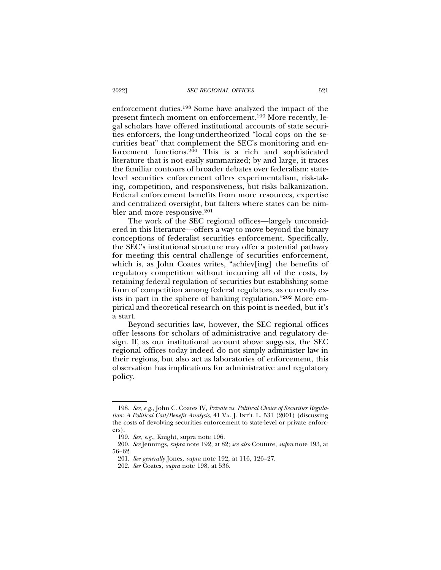enforcement duties.198 Some have analyzed the impact of the present fintech moment on enforcement.199 More recently, legal scholars have offered institutional accounts of state securities enforcers, the long-undertheorized "local cops on the securities beat" that complement the SEC's monitoring and enforcement functions.200 This is a rich and sophisticated literature that is not easily summarized; by and large, it traces the familiar contours of broader debates over federalism: statelevel securities enforcement offers experimentalism, risk-taking, competition, and responsiveness, but risks balkanization. Federal enforcement benefits from more resources, expertise and centralized oversight, but falters where states can be nimbler and more responsive.<sup>201</sup>

The work of the SEC regional offices—largely unconsidered in this literature—offers a way to move beyond the binary conceptions of federalist securities enforcement. Specifically, the SEC's institutional structure may offer a potential pathway for meeting this central challenge of securities enforcement, which is, as John Coates writes, "achiev[ing] the benefits of regulatory competition without incurring all of the costs, by retaining federal regulation of securities but establishing some form of competition among federal regulators, as currently exists in part in the sphere of banking regulation."202 More empirical and theoretical research on this point is needed, but it's a start.

Beyond securities law, however, the SEC regional offices offer lessons for scholars of administrative and regulatory design. If, as our institutional account above suggests, the SEC regional offices today indeed do not simply administer law in their regions, but also act as laboratories of enforcement, this observation has implications for administrative and regulatory policy.

<sup>198.</sup> *See, e.g.*, John C. Coates IV, *Private vs. Political Choice of Securities Regulation: A Political Cost/Benefit Analysis*, 41 VA. J. INT'L L. 531 (2001) (discussing the costs of devolving securities enforcement to state-level or private enforcers).

<sup>199.</sup> *See, e.g.*, Knight, supra note 196.

<sup>200.</sup> *See* Jennings, *supra* note 192, at 82; *see also* Couture, *supra* note 193, at 56–62.

<sup>201.</sup> *See generally* Jones, *supra* note 192, at 116, 126–27.

<sup>202.</sup> *See* Coates*, supra* note 198, at 536.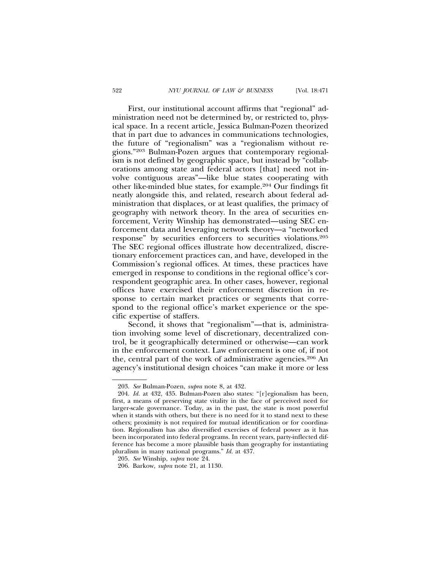First, our institutional account affirms that "regional" administration need not be determined by, or restricted to, physical space. In a recent article, Jessica Bulman-Pozen theorized that in part due to advances in communications technologies, the future of "regionalism" was a "regionalism without regions."203 Bulman-Pozen argues that contemporary regionalism is not defined by geographic space, but instead by "collaborations among state and federal actors [that] need not involve contiguous areas"—like blue states cooperating with other like-minded blue states, for example.204 Our findings fit neatly alongside this, and related, research about federal administration that displaces, or at least qualifies, the primacy of geography with network theory. In the area of securities enforcement, Verity Winship has demonstrated—using SEC enforcement data and leveraging network theory—a "networked response" by securities enforcers to securities violations.205 The SEC regional offices illustrate how decentralized, discretionary enforcement practices can, and have, developed in the Commission's regional offices. At times, these practices have emerged in response to conditions in the regional office's correspondent geographic area. In other cases, however, regional offices have exercised their enforcement discretion in response to certain market practices or segments that correspond to the regional office's market experience or the specific expertise of staffers.

Second, it shows that "regionalism"—that is, administration involving some level of discretionary, decentralized control, be it geographically determined or otherwise—can work in the enforcement context. Law enforcement is one of, if not the, central part of the work of administrative agencies.206 An agency's institutional design choices "can make it more or less

<sup>203.</sup> *See* Bulman-Pozen, *supra* note 8, at 432.

<sup>204.</sup> *Id.* at 432, 435. Bulman-Pozen also states: "[r]egionalism has been, first, a means of preserving state vitality in the face of perceived need for larger-scale governance. Today, as in the past, the state is most powerful when it stands with others, but there is no need for it to stand next to these others; proximity is not required for mutual identification or for coordination. Regionalism has also diversified exercises of federal power as it has been incorporated into federal programs. In recent years, party-inflected difference has become a more plausible basis than geography for instantiating pluralism in many national programs." *Id.* at 437.

<sup>205.</sup> *See* Winship, *supra* note 24.

<sup>206.</sup> Barkow, *supra* note 21, at 1130.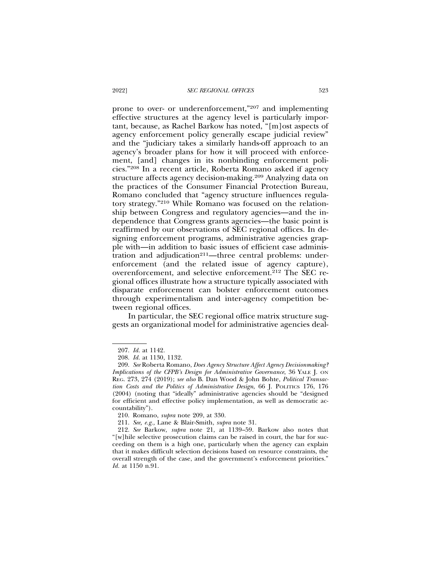prone to over- or underenforcement,"207 and implementing effective structures at the agency level is particularly important, because, as Rachel Barkow has noted, "[m]ost aspects of agency enforcement policy generally escape judicial review" and the "judiciary takes a similarly hands-off approach to an agency's broader plans for how it will proceed with enforcement, [and] changes in its nonbinding enforcement policies."208 In a recent article, Roberta Romano asked if agency structure affects agency decision-making.209 Analyzing data on the practices of the Consumer Financial Protection Bureau, Romano concluded that "agency structure influences regulatory strategy."210 While Romano was focused on the relationship between Congress and regulatory agencies—and the independence that Congress grants agencies—the basic point is reaffirmed by our observations of SEC regional offices. In designing enforcement programs, administrative agencies grapple with—in addition to basic issues of efficient case administration and adjudication<sup>211</sup>—three central problems: underenforcement (and the related issue of agency capture), overenforcement, and selective enforcement.<sup>212</sup> The SEC regional offices illustrate how a structure typically associated with disparate enforcement can bolster enforcement outcomes through experimentalism and inter-agency competition between regional offices.

In particular, the SEC regional office matrix structure suggests an organizational model for administrative agencies deal-

<sup>207.</sup> *Id.* at 1142.

<sup>208.</sup> *Id.* at 1130, 1132.

<sup>209.</sup> *See* Roberta Romano, *Does Agency Structure Affect Agency Decisionmaking? Implications of the CFPB's Design for Administrative Governance*, 36 YALE J. ON REG. 273, 274 (2019); *see also* B. Dan Wood & John Bohte, *Political Transaction Costs and the Politics of Administrative Design*, 66 J. POLITICS 176, 176 (2004) (noting that "ideally" administrative agencies should be "designed for efficient and effective policy implementation, as well as democratic accountability").

<sup>210.</sup> Romano, *supra* note 209, at 330.

<sup>211.</sup> *See, e.g.,* Lane & Blair-Smith, *supra* note 31.

<sup>212.</sup> *See* Barkow, *supra* note 21, at 1139–59. Barkow also notes that "[w]hile selective prosecution claims can be raised in court, the bar for succeeding on them is a high one, particularly when the agency can explain that it makes difficult selection decisions based on resource constraints, the overall strength of the case, and the government's enforcement priorities." *Id.* at 1150 n.91.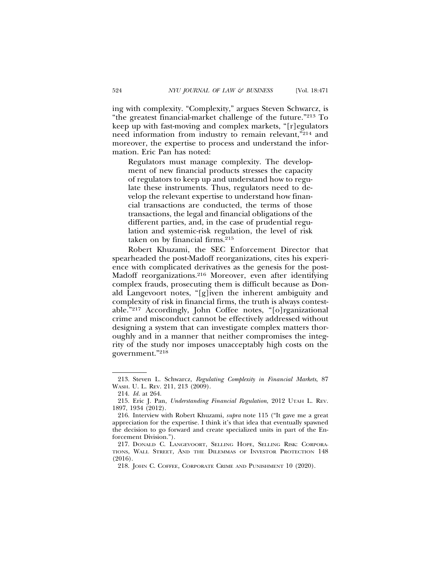ing with complexity. "Complexity," argues Steven Schwarcz, is "the greatest financial-market challenge of the future."213 To keep up with fast-moving and complex markets, "[r]egulators need information from industry to remain relevant,"214 and moreover, the expertise to process and understand the information. Eric Pan has noted:

Regulators must manage complexity. The development of new financial products stresses the capacity of regulators to keep up and understand how to regulate these instruments. Thus, regulators need to develop the relevant expertise to understand how financial transactions are conducted, the terms of those transactions, the legal and financial obligations of the different parties, and, in the case of prudential regulation and systemic-risk regulation, the level of risk taken on by financial firms.215

Robert Khuzami, the SEC Enforcement Director that spearheaded the post-Madoff reorganizations, cites his experience with complicated derivatives as the genesis for the post-Madoff reorganizations.<sup>216</sup> Moreover, even after identifying complex frauds, prosecuting them is difficult because as Donald Langevoort notes, "[g]iven the inherent ambiguity and complexity of risk in financial firms, the truth is always contestable."217 Accordingly, John Coffee notes, "[o]rganizational crime and misconduct cannot be effectively addressed without designing a system that can investigate complex matters thoroughly and in a manner that neither compromises the integrity of the study nor imposes unacceptably high costs on the government."218

<sup>213.</sup> Steven L. Schwarcz, *Regulating Complexity in Financial Markets*, 87 WASH. U. L. REV. 211, 213 (2009).

<sup>214.</sup> *Id.* at 264.

<sup>215.</sup> Eric J. Pan, *Understanding Financial Regulation*, 2012 UTAH L. REV. 1897, 1934 (2012).

<sup>216.</sup> Interview with Robert Khuzami, *supra* note 115 ("It gave me a great appreciation for the expertise. I think it's that idea that eventually spawned the decision to go forward and create specialized units in part of the Enforcement Division.").

<sup>217.</sup> DONALD C. LANGEVOORT, SELLING HOPE, SELLING RISK: CORPORA-TIONS, WALL STREET, AND THE DILEMMAS OF INVESTOR PROTECTION 148 (2016).

<sup>218.</sup> JOHN C. COFFEE, CORPORATE CRIME AND PUNISHMENT 10 (2020).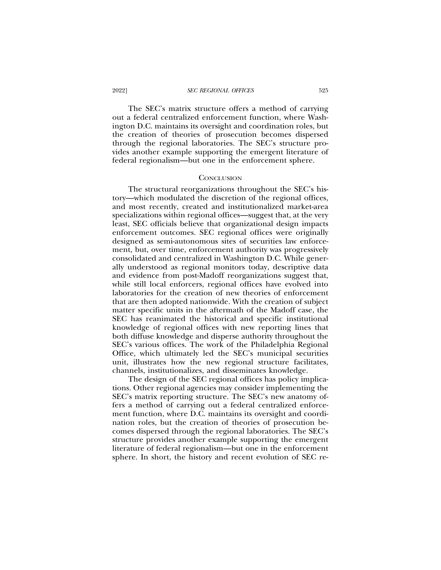#### 2022] *SEC REGIONAL OFFICES* 525

The SEC's matrix structure offers a method of carrying out a federal centralized enforcement function, where Washington D.C. maintains its oversight and coordination roles, but the creation of theories of prosecution becomes dispersed through the regional laboratories. The SEC's structure provides another example supporting the emergent literature of federal regionalism—but one in the enforcement sphere.

#### **CONCLUSION**

The structural reorganizations throughout the SEC's history—which modulated the discretion of the regional offices, and most recently, created and institutionalized market-area specializations within regional offices—suggest that, at the very least, SEC officials believe that organizational design impacts enforcement outcomes. SEC regional offices were originally designed as semi-autonomous sites of securities law enforcement, but, over time, enforcement authority was progressively consolidated and centralized in Washington D.C. While generally understood as regional monitors today, descriptive data and evidence from post-Madoff reorganizations suggest that, while still local enforcers, regional offices have evolved into laboratories for the creation of new theories of enforcement that are then adopted nationwide. With the creation of subject matter specific units in the aftermath of the Madoff case, the SEC has reanimated the historical and specific institutional knowledge of regional offices with new reporting lines that both diffuse knowledge and disperse authority throughout the SEC's various offices. The work of the Philadelphia Regional Office, which ultimately led the SEC's municipal securities unit, illustrates how the new regional structure facilitates, channels, institutionalizes, and disseminates knowledge.

The design of the SEC regional offices has policy implications. Other regional agencies may consider implementing the SEC's matrix reporting structure. The SEC's new anatomy offers a method of carrying out a federal centralized enforcement function, where D.C. maintains its oversight and coordination roles, but the creation of theories of prosecution becomes dispersed through the regional laboratories. The SEC's structure provides another example supporting the emergent literature of federal regionalism—but one in the enforcement sphere. In short, the history and recent evolution of SEC re-